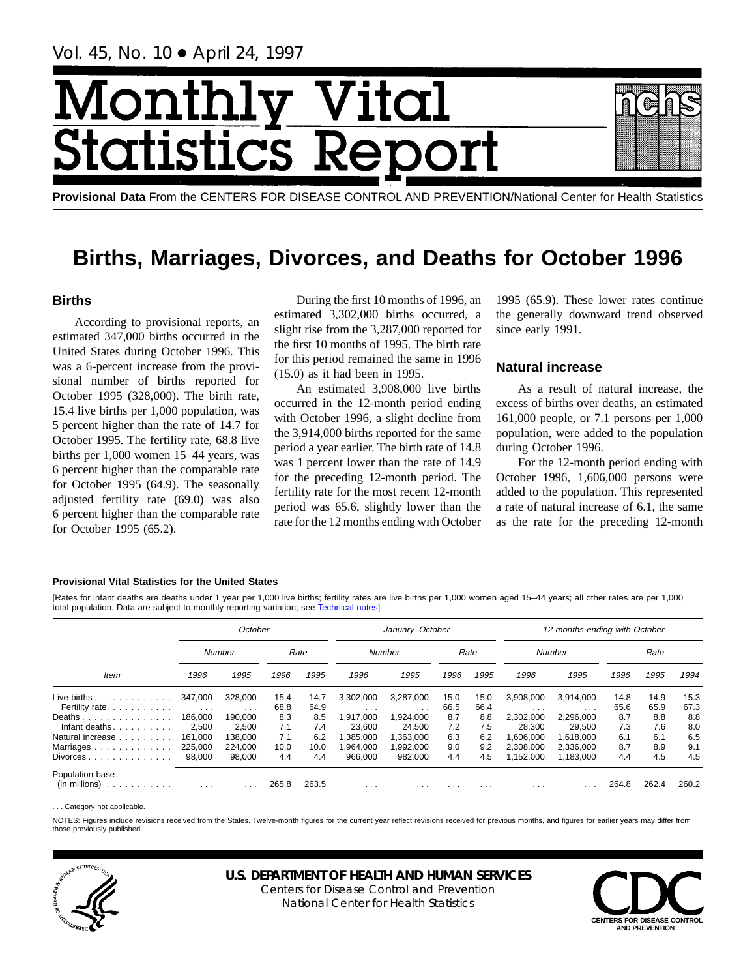Vol. 45, No. 10 ● April 24, 1997

# Month Vital tics R **itatist**

**Provisional Data** From the CENTERS FOR DISEASE CONTROL AND PREVENTION/National Center for Health Statistics

# **Births, Marriages, Divorces, and Deaths for October 1996**

# **Births**

According to provisional reports, an estimated 347,000 births occurred in the United States during October 1996. This was a 6-percent increase from the provisional number of births reported for October 1995 (328,000). The birth rate, 15.4 live births per 1,000 population, was 5 percent higher than the rate of 14.7 for October 1995. The fertility rate, 68.8 live births per 1,000 women 15–44 years, was 6 percent higher than the comparable rate for October 1995 (64.9). The seasonally adjusted fertility rate (69.0) was also 6 percent higher than the comparable rate for October 1995 (65.2).

During the first 10 months of 1996, an estimated 3,302,000 births occurred, a slight rise from the 3,287,000 reported for the first 10 months of 1995. The birth rate for this period remained the same in 1996 (15.0) as it had been in 1995.

An estimated 3,908,000 live births occurred in the 12-month period ending with October 1996, a slight decline from the 3,914,000 births reported for the same period a year earlier. The birth rate of 14.8 was 1 percent lower than the rate of 14.9 for the preceding 12-month period. The fertility rate for the most recent 12-month period was 65.6, slightly lower than the rate for the 12 months ending with October

1995 (65.9). These lower rates continue the generally downward trend observed since early 1991.

# **Natural increase**

As a result of natural increase, the excess of births over deaths, an estimated 161,000 people, or 7.1 persons per 1,000 population, were added to the population during October 1996.

For the 12-month period ending with October 1996, 1,606,000 persons were added to the population. This represented a rate of natural increase of 6.1, the same as the rate for the preceding 12-month

## **Provisional Vital Statistics for the United States**

[Rates for infant deaths are deaths under 1 year per 1,000 live births; fertility rates are live births per 1,000 women aged 15–44 years; all other rates are per 1,000 total population. Data are subject to monthly reporting variation; see [Technical notes\]](#page-16-0)

|                                                         |                         | October  |       |       |                         | January-October         |      |          |           | 12 months ending with October |       |       |       |
|---------------------------------------------------------|-------------------------|----------|-------|-------|-------------------------|-------------------------|------|----------|-----------|-------------------------------|-------|-------|-------|
|                                                         |                         | Number   |       | Rate  |                         | Number                  |      | Rate     |           | Number                        |       | Rate  |       |
| <b>Item</b>                                             | 1996                    | 1995     | 1996  | 1995  | 1996                    | 1995                    | 1996 | 1995     | 1996      | 1995                          | 1996  | 1995  | 1994  |
| Live births $\ldots$                                    | 347.000                 | 328,000  | 15.4  | 14.7  | 3,302,000               | 3,287,000               | 15.0 | 15.0     | 3.908.000 | 3.914.000                     | 14.8  | 14.9  | 15.3  |
| Fertility rate.                                         | $\sim$ $\sim$ $\sim$    | $\cdots$ | 68.8  | 64.9  | $\cdots$                | $\cdots$                | 66.5 | 66.4     | $\cdots$  | $\cdots$                      | 65.6  | 65.9  | 67.3  |
| Deaths                                                  | 186,000                 | 190.000  | 8.3   | 8.5   | 1,917,000               | 1,924,000               | 8.7  | 8.8      | 2.302.000 | 2.296.000                     | 8.7   | 8.8   | 8.8   |
| Infant deaths.                                          | 2,500                   | 2.500    | 7.1   | 7.4   | 23.600                  | 24.500                  | 7.2  | 7.5      | 28.300    | 29.500                        | 7.3   | 7.6   | 8.0   |
| Natural increase                                        | 161.000                 | 138.000  | 7.1   | 6.2   | .385.000                | 1.363.000               | 6.3  | 6.2      | .606.000  | 1.618.000                     | 6.1   | 6.1   | 6.5   |
| Marriages                                               | 225,000                 | 224.000  | 10.0  | 10.0  | .964.000                | 1,992,000               | 9.0  | 9.2      | 2,308,000 | 2,336,000                     | 8.7   | 8.9   | 9.1   |
| $Divorces \dots \dots \dots \dots \dots$                | 98.000                  | 98,000   | 4.4   | 4.4   | 966.000                 | 982.000                 | 4.4  | 4.5      | 152,000   | 1,183,000                     | 4.4   | 4.5   | 4.5   |
| Population base<br>$(in$ millions $) \dots \dots \dots$ | $\cdot$ $\cdot$ $\cdot$ |          | 265.8 | 263.5 | $\cdot$ $\cdot$ $\cdot$ | $\cdot$ $\cdot$ $\cdot$ | .    | $\cdots$ | .         |                               | 264.8 | 262.4 | 260.2 |

. Category not applicable

NOTES: Figures include revisions received from the States. Twelve-month figures for the current year reflect revisions received for previous months, and figures for earlier years may differ from those previously published.



# **U.S. DEPARTMENT OF HEALTH AND HUMAN SERVICES**

Centers for Disease Control and Prevention National Center for Health Statistics

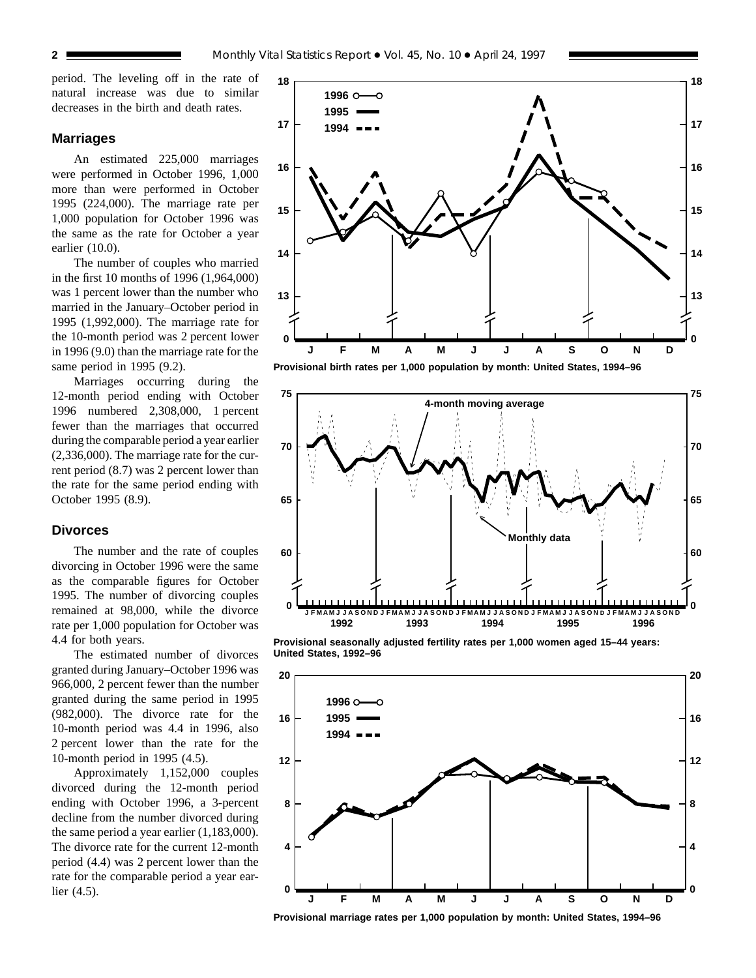period. The leveling off in the rate of natural increase was due to similar decreases in the birth and death rates.

# **Marriages**

An estimated 225,000 marriages were performed in October 1996, 1,000 more than were performed in October 1995 (224,000). The marriage rate per 1,000 population for October 1996 was the same as the rate for October a year earlier (10.0).

The number of couples who married in the first 10 months of 1996 (1,964,000) was 1 percent lower than the number who married in the January–October period in 1995 (1,992,000). The marriage rate for the 10-month period was 2 percent lower in 1996 (9.0) than the marriage rate for the same period in 1995 (9.2).

Marriages occurring during the 12-month period ending with October 1996 numbered 2,308,000, 1 percent fewer than the marriages that occurred during the comparable period a year earlier (2,336,000). The marriage rate for the current period (8.7) was 2 percent lower than the rate for the same period ending with October 1995 (8.9).

# **Divorces**

The number and the rate of couples divorcing in October 1996 were the same as the comparable figures for October 1995. The number of divorcing couples remained at 98,000, while the divorce rate per 1,000 population for October was 4.4 for both years.

The estimated number of divorces granted during January–October 1996 was 966,000, 2 percent fewer than the number granted during the same period in 1995 (982,000). The divorce rate for the 10-month period was 4.4 in 1996, also 2 percent lower than the rate for the 10-month period in 1995 (4.5).

Approximately 1,152,000 couples divorced during the 12-month period ending with October 1996, a 3-percent decline from the number divorced during the same period a year earlier (1,183,000). The divorce rate for the current 12-month period (4.4) was 2 percent lower than the rate for the comparable period a year earlier (4.5).







**Provisional seasonally adjusted fertility rates per 1,000 women aged 15–44 years: United States, 1992–96**



**Provisional marriage rates per 1,000 population by month: United States, 1994–96**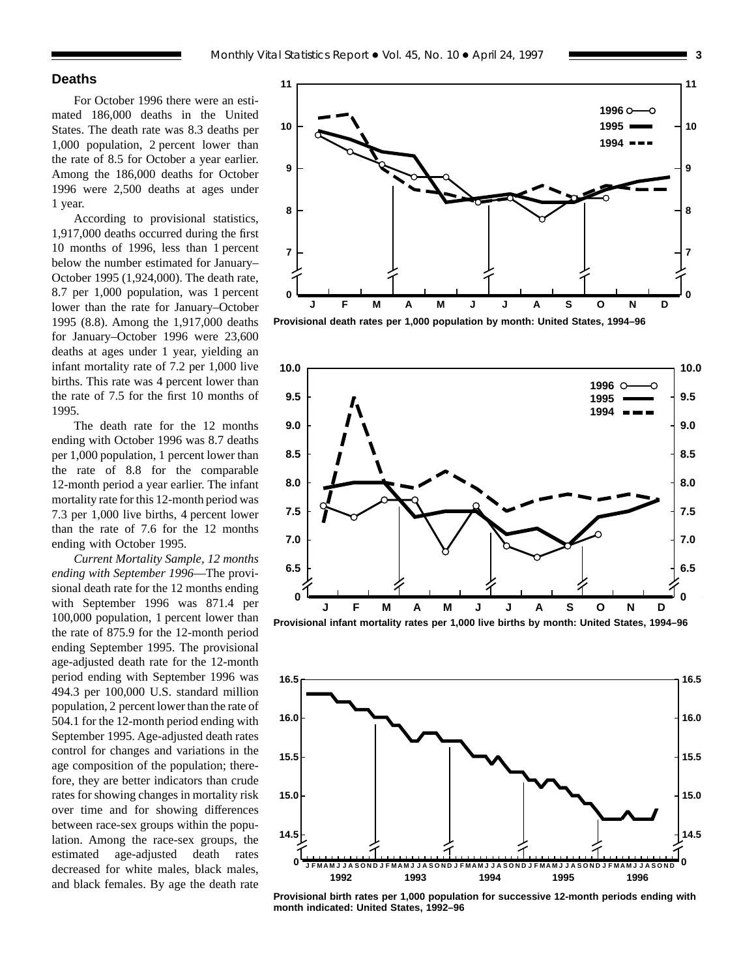# **Deaths**

For October 1996 there were an estimated 186,000 deaths in the United States. The death rate was 8.3 deaths per 1,000 population, 2 percent lower than the rate of 8.5 for October a year earlier. Among the 186,000 deaths for October 1996 were 2,500 deaths at ages under 1 year.

According to provisional statistics, 1,917,000 deaths occurred during the first 10 months of 1996, less than 1 percent below the number estimated for January– October 1995 (1,924,000). The death rate, 8.7 per 1,000 population, was 1 percent lower than the rate for January–October 1995 (8.8). Among the 1,917,000 deaths for January–October 1996 were 23,600 deaths at ages under 1 year, yielding an infant mortality rate of 7.2 per 1,000 live births. This rate was 4 percent lower than the rate of 7.5 for the first 10 months of 1995.

The death rate for the 12 months ending with October 1996 was 8.7 deaths per 1,000 population, 1 percent lower than the rate of 8.8 for the comparable 12-month period a year earlier. The infant mortality rate for this 12-month period was 7.3 per 1,000 live births, 4 percent lower than the rate of 7.6 for the 12 months ending with October 1995.

*Current Mortality Sample, 12 months ending with September 1996*—The provisional death rate for the 12 months ending with September 1996 was 871.4 per 100,000 population, 1 percent lower than the rate of 875.9 for the 12-month period ending September 1995. The provisional age-adjusted death rate for the 12-month period ending with September 1996 was 494.3 per 100,000 U.S. standard million population, 2 percent lower than the rate of 504.1 for the 12-month period ending with September 1995. Age-adjusted death rates control for changes and variations in the age composition of the population; therefore, they are better indicators than crude rates for showing changes in mortality risk over time and for showing differences between race-sex groups within the population. Among the race-sex groups, the estimated age-adjusted death rates decreased for white males, black males, and black females. By age the death rate



**Provisional death rates per 1,000 population by month: United States, 1994–96**



**Provisional infant mortality rates per 1,000 live births by month: United States, 1994–96**



**Provisional birth rates per 1,000 population for successive 12-month periods ending with month indicated: United States, 1992–96**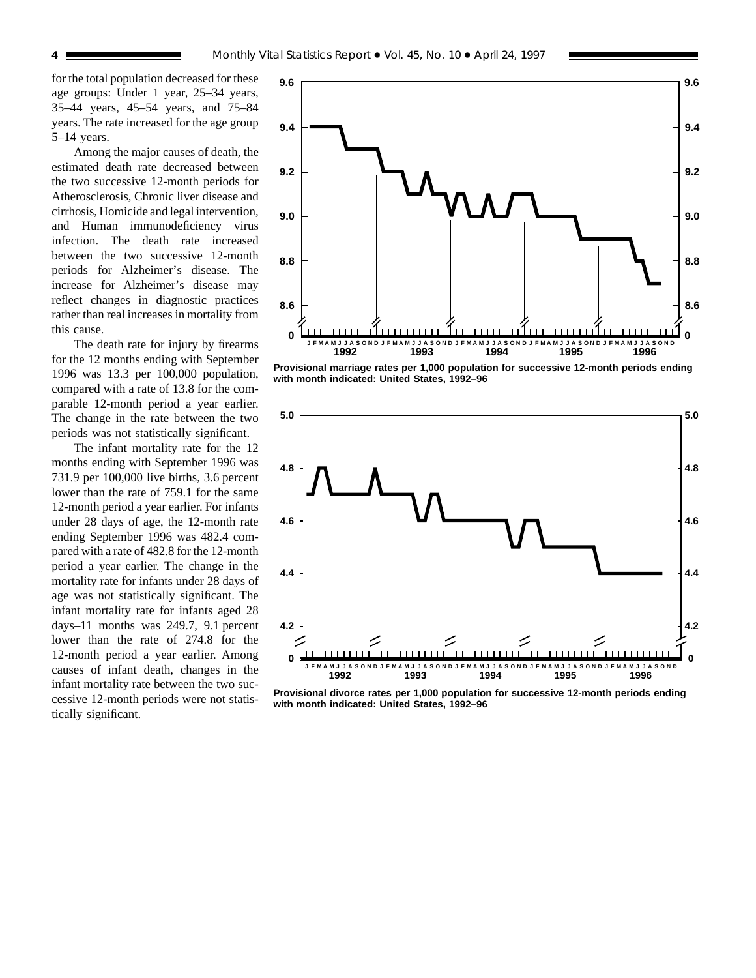for the total population decreased for these age groups: Under 1 year, 25–34 years, 35–44 years, 45–54 years, and 75–84 years. The rate increased for the age group 5–14 years.

Among the major causes of death, the estimated death rate decreased between the two successive 12-month periods for Atherosclerosis, Chronic liver disease and cirrhosis, Homicide and legal intervention, and Human immunodeficiency virus infection. The death rate increased between the two successive 12-month periods for Alzheimer's disease. The increase for Alzheimer's disease may reflect changes in diagnostic practices rather than real increases in mortality from this cause.

The death rate for injury by firearms for the 12 months ending with September 1996 was 13.3 per 100,000 population, compared with a rate of 13.8 for the comparable 12-month period a year earlier. The change in the rate between the two periods was not statistically significant.

The infant mortality rate for the 12 months ending with September 1996 was 731.9 per 100,000 live births, 3.6 percent lower than the rate of 759.1 for the same 12-month period a year earlier. For infants under 28 days of age, the 12-month rate ending September 1996 was 482.4 compared with a rate of 482.8 for the 12-month period a year earlier. The change in the mortality rate for infants under 28 days of age was not statistically significant. The infant mortality rate for infants aged 28 days–11 months was 249.7, 9.1 percent lower than the rate of 274.8 for the 12-month period a year earlier. Among causes of infant death, changes in the infant mortality rate between the two successive 12-month periods were not statistically significant.



**Provisional marriage rates per 1,000 population for successive 12-month periods ending with month indicated: United States, 1992–96**



**Provisional divorce rates per 1,000 population for successive 12-month periods ending with month indicated: United States, 1992–96**

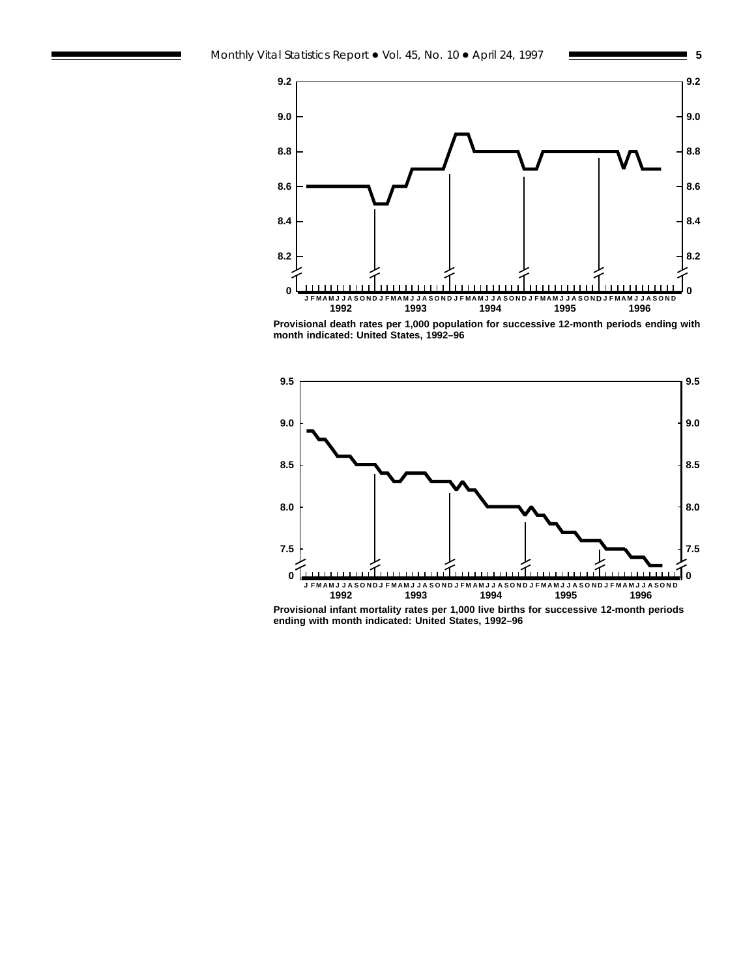

**Provisional death rates per 1,000 population for successive 12-month periods ending with month indicated: United States, 1992–96**



**Provisional infant mortality rates per 1,000 live births for successive 12-month periods ending with month indicated: United States, 1992–96**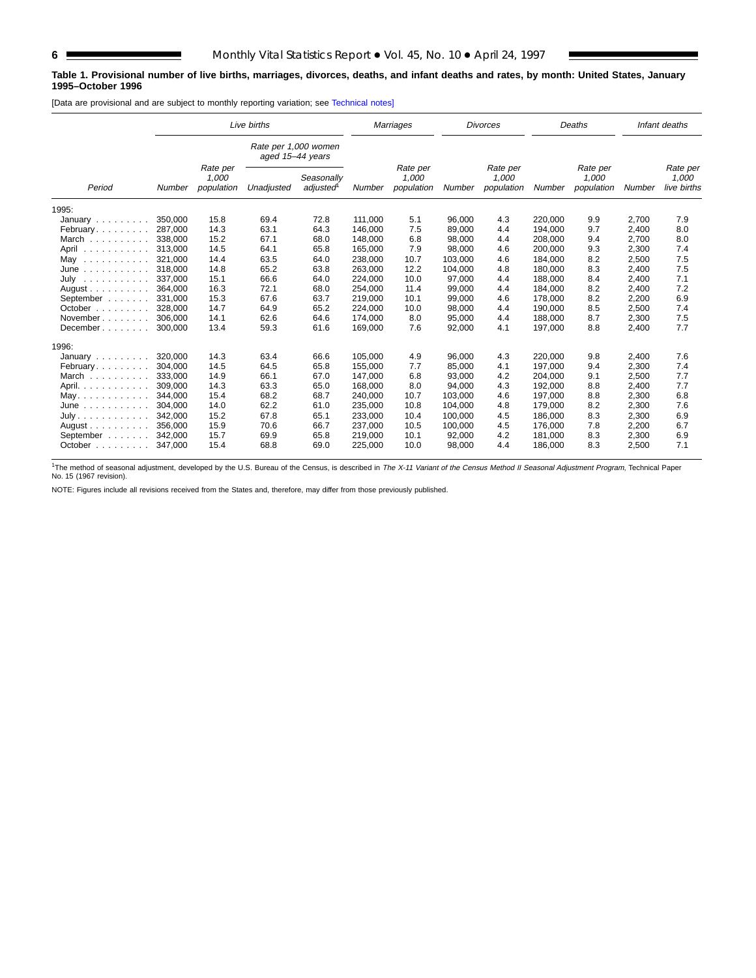## **Table 1. Provisional number of live births, marriages, divorces, deaths, and infant deaths and rates, by month: United States, January 1995–October 1996**

[Data are provisional and are subject to monthly reporting variation; see [Technical notes\]](#page-16-0)

| Live births                           |                                                                                          |        |                                          |        | <b>Marriages</b>                |        | <b>Divorces</b>                 |        | Deaths                           |     | Infant deaths |     |
|---------------------------------------|------------------------------------------------------------------------------------------|--------|------------------------------------------|--------|---------------------------------|--------|---------------------------------|--------|----------------------------------|-----|---------------|-----|
|                                       |                                                                                          |        | Rate per 1,000 women<br>aged 15-44 years |        |                                 |        |                                 |        |                                  |     |               |     |
| Period                                | Rate per<br>1,000<br>Seasonally<br>adjusted<br>population<br>Unadjusted<br><b>Number</b> | Number | Rate per<br>1,000<br>population          | Number | Rate per<br>1,000<br>population | Number | Rate per<br>1,000<br>population | Number | Rate per<br>1,000<br>live births |     |               |     |
| 1995:                                 |                                                                                          |        |                                          |        |                                 |        |                                 |        |                                  |     |               |     |
| January                               | 350.000                                                                                  | 15.8   | 69.4                                     | 72.8   | 111.000                         | 5.1    | 96,000                          | 4.3    | 220,000                          | 9.9 | 2,700         | 7.9 |
| February                              | 287,000                                                                                  | 14.3   | 63.1                                     | 64.3   | 146,000                         | 7.5    | 89,000                          | 4.4    | 194,000                          | 9.7 | 2,400         | 8.0 |
| March                                 | 338,000                                                                                  | 15.2   | 67.1                                     | 68.0   | 148,000                         | 6.8    | 98,000                          | 4.4    | 208,000                          | 9.4 | 2,700         | 8.0 |
| April<br>.                            | 313,000                                                                                  | 14.5   | 64.1                                     | 65.8   | 165,000                         | 7.9    | 98,000                          | 4.6    | 200,000                          | 9.3 | 2,300         | 7.4 |
| May<br>.                              | 321,000                                                                                  | 14.4   | 63.5                                     | 64.0   | 238,000                         | 10.7   | 103,000                         | 4.6    | 184,000                          | 8.2 | 2,500         | 7.5 |
| June<br>.                             | 318,000                                                                                  | 14.8   | 65.2                                     | 63.8   | 263,000                         | 12.2   | 104,000                         | 4.8    | 180,000                          | 8.3 | 2,400         | 7.5 |
| July<br>.                             | 337,000                                                                                  | 15.1   | 66.6                                     | 64.0   | 224,000                         | 10.0   | 97,000                          | 4.4    | 188,000                          | 8.4 | 2,400         | 7.1 |
| August $\ldots$ , $\ldots$ , $\ldots$ | 364.000                                                                                  | 16.3   | 72.1                                     | 68.0   | 254,000                         | 11.4   | 99,000                          | 4.4    | 184,000                          | 8.2 | 2,400         | 7.2 |
| September                             | 331.000                                                                                  | 15.3   | 67.6                                     | 63.7   | 219,000                         | 10.1   | 99,000                          | 4.6    | 178,000                          | 8.2 | 2,200         | 6.9 |
| October $\ldots$ , $\ldots$           | 328,000                                                                                  | 14.7   | 64.9                                     | 65.2   | 224.000                         | 10.0   | 98,000                          | 4.4    | 190.000                          | 8.5 | 2,500         | 7.4 |
| November                              | 306.000                                                                                  | 14.1   | 62.6                                     | 64.6   | 174,000                         | 8.0    | 95,000                          | 4.4    | 188.000                          | 8.7 | 2,300         | 7.5 |
| December                              | 300,000                                                                                  | 13.4   | 59.3                                     | 61.6   | 169,000                         | 7.6    | 92,000                          | 4.1    | 197,000                          | 8.8 | 2,400         | 7.7 |
| 1996:                                 |                                                                                          |        |                                          |        |                                 |        |                                 |        |                                  |     |               |     |
| January                               | 320,000                                                                                  | 14.3   | 63.4                                     | 66.6   | 105,000                         | 4.9    | 96,000                          | 4.3    | 220,000                          | 9.8 | 2,400         | 7.6 |
| February                              | 304.000                                                                                  | 14.5   | 64.5                                     | 65.8   | 155,000                         | 7.7    | 85,000                          | 4.1    | 197,000                          | 9.4 | 2,300         | 7.4 |
| March                                 | 333,000                                                                                  | 14.9   | 66.1                                     | 67.0   | 147,000                         | 6.8    | 93,000                          | 4.2    | 204,000                          | 9.1 | 2,500         | 7.7 |
| April.                                | 309,000                                                                                  | 14.3   | 63.3                                     | 65.0   | 168,000                         | 8.0    | 94,000                          | 4.3    | 192,000                          | 8.8 | 2,400         | 7.7 |
| May.                                  | 344,000                                                                                  | 15.4   | 68.2                                     | 68.7   | 240,000                         | 10.7   | 103,000                         | 4.6    | 197,000                          | 8.8 | 2,300         | 6.8 |
| June<br>.                             | 304,000                                                                                  | 14.0   | 62.2                                     | 61.0   | 235,000                         | 10.8   | 104,000                         | 4.8    | 179,000                          | 8.2 | 2,300         | 7.6 |
| July.                                 | 342.000                                                                                  | 15.2   | 67.8                                     | 65.1   | 233,000                         | 10.4   | 100,000                         | 4.5    | 186,000                          | 8.3 | 2,300         | 6.9 |
| August $\ldots$ , $\ldots$ , $\ldots$ | 356,000                                                                                  | 15.9   | 70.6                                     | 66.7   | 237,000                         | 10.5   | 100,000                         | 4.5    | 176,000                          | 7.8 | 2,200         | 6.7 |
| September                             | 342.000                                                                                  | 15.7   | 69.9                                     | 65.8   | 219,000                         | 10.1   | 92,000                          | 4.2    | 181.000                          | 8.3 | 2,300         | 6.9 |
| October $\ldots$                      | 347,000                                                                                  | 15.4   | 68.8                                     | 69.0   | 225,000                         | 10.0   | 98,000                          | 4.4    | 186,000                          | 8.3 | 2,500         | 7.1 |

<sup>1</sup>The method of seasonal adjustment, developed by the U.S. Bureau of the Census, is described in *The X-11 Variant of the Census Method II Seasonal Adjustment Program*, Technical Paper<br>No. 15 (1967 revision).

NOTE: Figures include all revisions received from the States and, therefore, may differ from those previously published.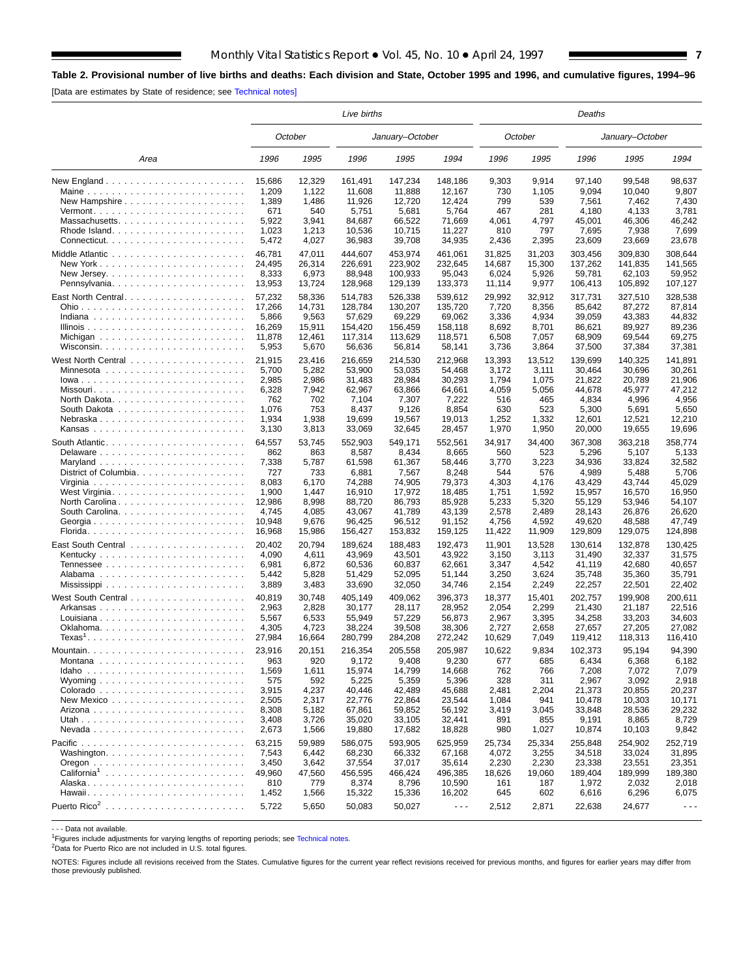# <span id="page-6-0"></span>**Table 2. Provisional number of live births and deaths: Each division and State, October 1995 and 1996, and cumulative figures, 1994–96**

[Data are estimates by State of residence; see [Technical notes\]](#page-16-0)

|                                                           |        |         | Live births |                 |                      |            | Deaths  |         |                 |                      |  |  |  |
|-----------------------------------------------------------|--------|---------|-------------|-----------------|----------------------|------------|---------|---------|-----------------|----------------------|--|--|--|
|                                                           |        | October |             | January-October |                      |            | October |         | January-October |                      |  |  |  |
| Area                                                      | 1996   | 1995    | 1996        | 1995            | 1994                 | 1996       | 1995    | 1996    | 1995            | 1994                 |  |  |  |
|                                                           | 15,686 | 12,329  | 161,491     | 147,234         | 148,186              | 9,303      | 9,914   | 97,140  | 99,548          | 98,637               |  |  |  |
| Maine                                                     | 1,209  | 1,122   | 11,608      | 11,888          | 12,167               | 730        | 1,105   | 9.094   | 10,040          | 9,807                |  |  |  |
| New Hampshire                                             | 1,389  | 1,486   | 11,926      | 12,720          | 12,424               | 799        | 539     | 7,561   | 7,462           | 7,430                |  |  |  |
| $Vermont.$                                                | 671    | 540     | 5,751       | 5,681           | 5,764                | 467        | 281     | 4,180   | 4,133           | 3,781                |  |  |  |
| Massachusetts                                             | 5,922  | 3,941   | 84,687      | 66,522          | 71,669               | 4.061      | 4,797   | 45,001  | 46,306          | 46,242               |  |  |  |
|                                                           | 1,023  | 1,213   | 10,536      | 10,715          | 11,227               | 810        | 797     | 7,695   | 7,938           | 7,699                |  |  |  |
|                                                           | 5,472  | 4,027   | 36,983      | 39,708          | 34,935               | 2,436      | 2,395   | 23,609  | 23,669          | 23,678               |  |  |  |
|                                                           | 46,781 | 47,011  | 444,607     | 453,974         | 461,061              | 31,825     | 31,203  | 303.456 | 309,830         | 308,644              |  |  |  |
|                                                           | 24,495 | 26,314  | 226,691     | 223,902         | 232,645              | 14,687     | 15,300  | 137,262 | 141,835         | 141.565              |  |  |  |
|                                                           | 8,333  | 6,973   | 88,948      | 100,933         | 95,043               | 6,024      | 5,926   | 59,781  | 62,103          | 59,952               |  |  |  |
|                                                           | 13,953 | 13,724  | 128,968     | 129,139         | 133,373              | 11,114     | 9,977   | 106,413 | 105,892         | 107,127              |  |  |  |
| East North Central                                        | 57,232 | 58,336  | 514,783     | 526,338         | 539,612              | 29,992     | 32,912  | 317,731 | 327,510         | 328,538              |  |  |  |
|                                                           | 17,266 | 14,731  | 128,784     | 130,207         | 135,720              | 7,720      | 8,356   | 85,642  | 87,272          | 87,814               |  |  |  |
|                                                           | 5,866  | 9,563   | 57,629      | 69,229          | 69,062               | 3,336      | 4,934   | 39,059  | 43,383          | 44,832               |  |  |  |
|                                                           | 16,269 | 15,911  | 154,420     | 156,459         | 158,118              | 8,692      | 8,701   | 86,621  | 89,927          | 89,236               |  |  |  |
|                                                           | 11,878 | 12,461  | 117,314     | 113,629         | 118,571              | 6,508      | 7,057   | 68,909  | 69,544          | 69,275               |  |  |  |
|                                                           | 5,953  | 5,670   | 56,636      | 56,814          | 58,141               | 3,736      | 3,864   | 37,500  | 37,384          | 37,381               |  |  |  |
|                                                           |        |         |             |                 |                      |            |         |         |                 |                      |  |  |  |
|                                                           | 21,915 | 23,416  | 216,659     | 214,530         | 212,968              | 13,393     | 13,512  | 139,699 | 140,325         | 141,891              |  |  |  |
|                                                           | 5,700  | 5,282   | 53,900      | 53,035          | 54,468               | 3,172      | 3,111   | 30,464  | 30,696          | 30,261               |  |  |  |
| lowa                                                      | 2,985  | 2,986   | 31,483      | 28,984          | 30,293               | 1,794      | 1,075   | 21,822  | 20,789          | 21,906               |  |  |  |
| Missouri                                                  | 6,328  | 7,942   | 62,967      | 63,866          | 64,661               | 4,059      | 5,056   | 44,678  | 45,977          | 47,212               |  |  |  |
| North Dakota. $\ldots \ldots \ldots \ldots \ldots \ldots$ | 762    | 702     | 7,104       | 7,307           | 7,222                | 516        | 465     | 4,834   | 4,996           | 4,956                |  |  |  |
|                                                           | 1,076  | 753     | 8,437       | 9,126           | 8,854                | 630        | 523     | 5,300   | 5,691           | 5,650                |  |  |  |
| Nebraska                                                  | 1,934  | 1,938   | 19,699      | 19,567          | 19,013               | 1,252      | 1,332   | 12,601  | 12,521          | 12,210               |  |  |  |
|                                                           | 3,130  | 3,813   | 33,069      | 32,645          | 28,457               | 1,970      | 1,950   | 20,000  | 19,655          | 19,696               |  |  |  |
|                                                           | 64,557 | 53,745  | 552,903     | 549.171         | 552,561              | 34,917     | 34.400  | 367,308 | 363.218         | 358,774              |  |  |  |
|                                                           | 862    | 863     | 8,587       | 8,434           | 8,665                | 560        | 523     | 5,296   | 5,107           | 5,133                |  |  |  |
|                                                           | 7,338  | 5,787   | 61,598      | 61,367          | 58,446               | 3,770      | 3,223   | 34,936  | 33,824          | 32,582               |  |  |  |
| District of Columbia.                                     | 727    | 733     | 6,881       | 7,567           | 8,248                | 544        | 576     | 4,989   | 5,488           | 5,706                |  |  |  |
|                                                           | 8,083  | 6,170   | 74,288      | 74,905          | 79,373               | 4,303      | 4,176   | 43,429  | 43,744          | 45,029               |  |  |  |
|                                                           | 1,900  | 1,447   | 16,910      | 17,972          | 18,485               | 1,751      | 1,592   | 15,957  | 16,570          | 16,950               |  |  |  |
| North Carolina                                            | 12,986 | 8,998   | 88,720      | 86,793          | 85,928               | 5,233      | 5,320   | 55,129  | 53,946          | 54,107               |  |  |  |
|                                                           | 4,745  | 4,085   | 43,067      | 41,789          | 43,139               | 2,578      | 2,489   | 28,143  | 26,876          | 26,620               |  |  |  |
|                                                           | 10,948 | 9,676   | 96,425      | 96,512          | 91,152               | 4,756      | 4,592   | 49,620  | 48,588          | 47,749               |  |  |  |
| Georgia                                                   | 16,968 | 15,986  | 156,427     | 153,832         | 159,125              | 11,422     | 11,909  | 129,809 | 129,075         | 124,898              |  |  |  |
|                                                           |        |         |             |                 |                      |            |         |         |                 |                      |  |  |  |
|                                                           | 20,402 | 20,794  | 189,624     | 188,483         | 192,473              | 11,901     | 13,528  | 130,614 | 132,878         | 130,425              |  |  |  |
|                                                           | 4,090  | 4,611   | 43,969      | 43,501          | 43,922               | 3,150      | 3,113   | 31,490  | 32,337          | 31,575               |  |  |  |
|                                                           | 6,981  | 6,872   | 60,536      | 60,837          | 62,661               | 3,347      | 4,542   | 41,119  | 42,680          | 40,657               |  |  |  |
|                                                           | 5,442  | 5,828   | 51,429      | 52,095          | 51,144               | 3,250      | 3,624   | 35,748  | 35,360          | 35,791               |  |  |  |
|                                                           | 3,889  | 3,483   | 33,690      | 32,050          | 34,746               | 2,154      | 2,249   | 22,257  | 22,501          | 22,402               |  |  |  |
|                                                           | 40,819 | 30,748  | 405,149     | 409,062         | 396,373              | 18,377     | 15,401  | 202,757 | 199,908         | 200,611              |  |  |  |
| Arkansas                                                  | 2,963  | 2,828   | 30,177      | 28.117          | 28,952               | 2,054      | 2,299   | 21,430  | 21,187          | 22.516               |  |  |  |
|                                                           | 5,567  | 6,533   | 55,949      | 57,229          | 56,873               | 2,967      | 3,395   | 34,258  | 33,203          | 34,603               |  |  |  |
|                                                           | 4,305  | 4,723   | 38,224      | 39,508          | 38,306               | 2,727      | 2,658   | 27,657  | 27,205          | 27,082               |  |  |  |
| $Texas1$                                                  | 27,984 | 16,664  | 280,799     | 284,208         | 272,242              | 10,629     | 7,049   | 119,412 | 118,313         | 116,410              |  |  |  |
|                                                           | 23,916 | 20.151  | 216,354     | 205,558         | 205,987              | 10,622     | 9.834   | 102,373 | 95,194          | 94,390               |  |  |  |
|                                                           |        |         |             |                 |                      |            |         |         |                 |                      |  |  |  |
|                                                           | 963    | 920     | 9,172       | 9,408           | 9,230                | 677<br>762 | 685     | 6,434   | 6,368           | 6,182                |  |  |  |
|                                                           | 1,569  | 1,611   | 15,974      | 14,799          | 14,668               |            | 766     | 7,208   | 7,072           | 7,079                |  |  |  |
|                                                           | 575    | 592     | 5,225       | 5,359           | 5,396                | 328        | 311     | 2,967   | 3,092           | 2,918                |  |  |  |
|                                                           | 3,915  | 4,237   | 40,446      | 42,489          | 45,688               | 2,481      | 2,204   | 21,373  | 20,855          | 20,237               |  |  |  |
|                                                           | 2,505  | 2,317   | 22,776      | 22,864          | 23,544               | 1,084      | 941     | 10.478  | 10,303          | 10,171               |  |  |  |
|                                                           | 8,308  | 5,182   | 67,861      | 59,852          | 56,192               | 3,419      | 3,045   | 33,848  | 28,536          | 29,232               |  |  |  |
|                                                           | 3,408  | 3,726   | 35,020      | 33,105          | 32,441               | 891        | 855     | 9,191   | 8,865           | 8,729                |  |  |  |
|                                                           | 2,673  | 1,566   | 19,880      | 17,682          | 18,828               | 980        | 1,027   | 10,874  | 10,103          | 9,842                |  |  |  |
|                                                           | 63,215 | 59,989  | 586.075     | 593,905         | 625,959              | 25,734     | 25,334  | 255,848 | 254,902         | 252,719              |  |  |  |
|                                                           | 7,543  | 6,442   | 68,230      | 66,332          | 67,168               | 4,072      | 3,255   | 34,518  | 33,024          | 31,895               |  |  |  |
|                                                           | 3,450  | 3,642   | 37,554      | 37,017          | 35,614               | 2,230      | 2,230   | 23,338  | 23,551          | 23,351               |  |  |  |
|                                                           | 49,960 | 47,560  | 456.595     | 466,424         | 496,385              | 18,626     | 19,060  | 189,404 | 189,999         | 189,380              |  |  |  |
|                                                           | 810    | 779     | 8,374       | 8,796           | 10,590               | 161        | 187     | 1,972   | 2,032           | 2,018                |  |  |  |
|                                                           | 1,452  | 1,566   | 15,322      | 15,336          | 16,202               | 645        | 602     | 6,616   | 6,296           | 6,075                |  |  |  |
|                                                           | 5,722  | 5,650   | 50,083      | 50,027          | $\sim$ $\sim$ $\sim$ | 2,512      | 2,871   | 22,638  | 24,677          | $\sim$ $\sim$ $\sim$ |  |  |  |
|                                                           |        |         |             |                 |                      |            |         |         |                 |                      |  |  |  |

- - - Data not available.

<sup>1</sup>Figures include adjustments for varying lengths of reporting periods; see [Technical notes.](#page-16-0)

2Data for Puerto Rico are not included in U.S. total figures.

NOTES: Figures include all revisions received from the States. Cumulative figures for the current year reflect revisions received for previous months, and figures for earlier years may differ from those previously published.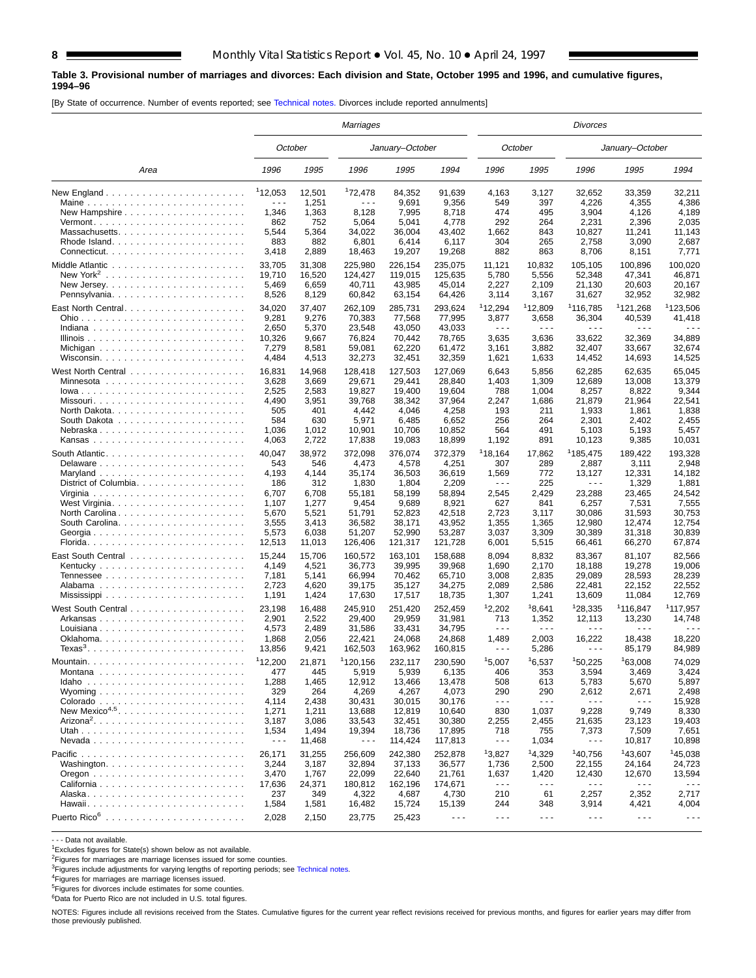### **Table 3. Provisional number of marriages and divorces: Each division and State, October 1995 and 1996, and cumulative figures, 1994–96**

[By State of occurrence. Number of events reported; see [Technical notes.](#page-16-0) Divorces include reported annulments]

|                                                           |                      |                | Marriages            |                   |                   |                               |                               | Divorces                       |                                |                      |
|-----------------------------------------------------------|----------------------|----------------|----------------------|-------------------|-------------------|-------------------------------|-------------------------------|--------------------------------|--------------------------------|----------------------|
|                                                           |                      | October        |                      | January-October   |                   |                               | October                       |                                | January-October                |                      |
| Area                                                      | 1996                 | 1995           | 1996                 | 1995              | 1994              | 1996                          | 1995                          | 1996                           | 1995                           | 1994                 |
|                                                           | 112,053              | 12,501         | 172,478              | 84,352            | 91,639            | 4,163                         | 3,127                         | 32,652                         | 33,359                         | 32,211               |
| Maine                                                     | $- - -$              | 1,251          | $\sim$ $\sim$ $\sim$ | 9,691             | 9,356             | 549                           | 397                           | 4,226                          | 4,355                          | 4,386                |
| New Hampshire $\ldots \ldots \ldots \ldots \ldots \ldots$ | 1,346                | 1,363          | 8,128                | 7,995             | 8,718             | 474                           | 495                           | 3,904                          | 4,126                          | 4,189                |
| $Vermont.$                                                | 862                  | 752            | 5,064                | 5,041             | 4,778             | 292                           | 264                           | 2,231                          | 2,396                          | 2,035                |
| Massachusetts                                             | 5,544                | 5,364          | 34,022               | 36,004            | 43,402            | 1,662                         | 843                           | 10,827                         | 11,241                         | 11,143               |
|                                                           | 883                  | 882            | 6,801                | 6,414             | 6,117             | 304                           | 265                           | 2,758                          | 3,090                          | 2,687                |
|                                                           | 3,418                | 2,889          | 18,463               | 19,207            | 19,268            | 882                           | 863                           | 8,706                          | 8,151                          | 7,771                |
|                                                           | 33,705               | 31,308         | 225,980              | 226,154           | 235,075           | 11,121                        | 10,832                        | 105,105                        | 100,896                        | 100,020              |
|                                                           | 19,710               | 16,520         | 124,427              | 119,015           | 125,635           | 5,780                         | 5,556                         | 52,348                         | 47,341                         | 46,871               |
|                                                           | 5,469<br>8,526       | 6,659<br>8,129 | 40.711<br>60,842     | 43,985<br>63,154  | 45,014<br>64,426  | 2,227<br>3,114                | 2,109<br>3,167                | 21,130<br>31,627               | 20,603<br>32,952               | 20,167<br>32,982     |
|                                                           |                      |                |                      |                   |                   |                               |                               |                                |                                |                      |
| East North Central                                        | 34,020               | 37,407         | 262,109              | 285,731           | 293,624           | 112,294                       | 112,809                       | <sup>1</sup> 116,785           | 121,268                        | <sup>1</sup> 123,506 |
|                                                           | 9,281                | 9,276          | 70,383               | 77,568            | 77,995            | 3,877<br>$\sim$ $\sim$ $\sim$ | 3,658<br>$\sim$ $\sim$ $\sim$ | 36,304<br>$\sim$ $\sim$ $\sim$ | 40,539<br>.                    | 41,418<br>.          |
|                                                           | 2,650<br>10,326      | 5,370<br>9,667 | 23,548<br>76,824     | 43,050<br>70,442  | 43,033<br>78,765  | 3,635                         | 3,636                         | 33,622                         | 32,369                         | 34,889               |
|                                                           | 7,279                | 8,581          | 59,081               | 62,220            | 61,472            | 3,161                         | 3,882                         | 32,407                         | 33,667                         | 32,674               |
|                                                           | 4,484                | 4,513          | 32,273               | 32,451            | 32,359            | 1,621                         | 1,633                         | 14,452                         | 14,693                         | 14,525               |
|                                                           |                      |                |                      |                   |                   |                               |                               | 62.285                         |                                |                      |
|                                                           | 16,831               | 14,968         | 128,418              | 127,503           | 127,069           | 6,643                         | 5,856                         |                                | 62,635                         | 65,045               |
|                                                           | 3,628<br>2,525       | 3,669<br>2,583 | 29,671<br>19,827     | 29,441<br>19.400  | 28,840<br>19,604  | 1,403<br>788                  | 1,309<br>1,004                | 12,689<br>8,257                | 13,008<br>8,822                | 13,379<br>9,344      |
| Missouri                                                  | 4,490                | 3,951          | 39,768               | 38,342            | 37,964            | 2,247                         | 1,686                         | 21,879                         | 21.964                         | 22,541               |
| North Dakota. $\ldots \ldots \ldots \ldots \ldots \ldots$ | 505                  | 401            | 4,442                | 4,046             | 4,258             | 193                           | 211                           | 1,933                          | 1,861                          | 1,838                |
|                                                           | 584                  | 630            | 5,971                | 6,485             | 6,652             | 256                           | 264                           | 2,301                          | 2,402                          | 2,455                |
| Nebraska                                                  | 1,036                | 1,012          | 10,901               | 10,706            | 10,852            | 564                           | 491                           | 5,103                          | 5,193                          | 5,457                |
|                                                           | 4,063                | 2,722          | 17,838               | 19,083            | 18,899            | 1,192                         | 891                           | 10,123                         | 9,385                          | 10,031               |
|                                                           | 40,047               | 38,972         | 372.098              | 376,074           | 372,379           | 118,164                       | 17,862                        | <sup>1</sup> 185,475           | 189.422                        | 193,328              |
| Delaware                                                  | 543                  | 546            | 4,473                | 4,578             | 4,251             | 307                           | 289                           | 2,887                          | 3,111                          | 2,948                |
|                                                           | 4,193                | 4,144          | 35,174               | 36,503            | 36,619            | 1,569                         | 772                           | 13,127                         | 12,331                         | 14,182               |
| District of Columbia.                                     | 186                  | 312            | 1,830                | 1,804             | 2,209             | $\sim$ $\sim$ $\sim$          | 225                           | $\sim$ $\sim$ $\sim$           | 1,329                          | 1,881                |
|                                                           | 6,707                | 6,708          | 55,181               | 58,199            | 58,894            | 2,545                         | 2,429                         | 23,288                         | 23,465                         | 24,542               |
|                                                           | 1,107                | 1,277          | 9,454                | 9,689             | 8,921             | 627                           | 841                           | 6,257                          | 7,531                          | 7,555                |
| North Carolina                                            | 5,670                | 5,521          | 51,791               | 52,823            | 42,518            | 2,723                         | 3,117                         | 30,086                         | 31,593                         | 30,753               |
|                                                           | 3,555                | 3,413          | 36,582               | 38,171            | 43,952            | 1,355                         | 1,365                         | 12,980                         | 12,474                         | 12,754               |
| Georgia                                                   | 5,573                | 6,038          | 51,207               | 52,990            | 53,287            | 3,037                         | 3,309                         | 30,389                         | 31,318                         | 30,839               |
|                                                           | 12,513               | 11,013         | 126,406              | 121,317           | 121,728           | 6,001                         | 5,515                         | 66,461                         | 66,270                         | 67,874               |
|                                                           | 15,244               | 15,706         | 160,572              | 163,101           | 158,688           | 8,094                         | 8,832                         | 83,367                         | 81,107                         | 82,566               |
|                                                           | 4,149                | 4,521          | 36,773               | 39,995            | 39,968            | 1,690                         | 2,170                         | 18,188                         | 19,278                         | 19,006               |
|                                                           | 7,181                | 5,141          | 66,994               | 70,462            | 65,710            | 3,008                         | 2,835                         | 29,089                         | 28,593                         | 28,239               |
|                                                           | 2,723                | 4,620          | 39,175               | 35,127            | 34,275            | 2,089                         | 2,586                         | 22,481                         | 22,152                         | 22,552               |
|                                                           | 1,191                | 1,424          | 17,630               | 17,517            | 18,735            | 1,307                         | 1,241                         | 13,609                         | 11,084                         | 12,769               |
|                                                           | 23,198               | 16,488         | 245,910              | 251,420           | 252,459           | 12,202                        | 18,641                        | 128,335                        | 1116,847                       | <sup>1</sup> 117,957 |
|                                                           | 2,901                | 2,522          | 29,400               | 29,959            | 31,981            | 713                           | 1,352                         | 12,113                         | 13,230                         | 14,748               |
| Louisiana                                                 | 4,573                | 2,489          | 31,586               | 33,431            | 34,795            | $\sim$ $\sim$ $\sim$<br>1,489 | $\sim$ $\sim$ $\sim$<br>2,003 | $\sim$ $\sim$ $\sim$<br>16,222 | $\sim$ $\sim$ $\sim$<br>18,438 | 18,220               |
| $Texas3$                                                  | 1,868<br>13,856      | 2,056<br>9,421 | 22,421<br>162,503    | 24,068<br>163,962 | 24,868<br>160,815 | $\sim$ $\sim$ $\sim$          | 5,286                         | $\sim$ $\sim$ $\sim$           | 85,179                         | 84,989               |
|                                                           |                      |                |                      |                   |                   |                               |                               |                                |                                |                      |
|                                                           | 112,200              | 21,871         | 1120.156             | 232,117           | 230,590           | 15,007                        | 16,537                        | 150.225                        | 163.008                        | 74,029               |
| $Idaho$                                                   | 477<br>1,288         | 445<br>1,465   | 5,919<br>12,912      | 5,939<br>13,466   | 6,135<br>13,478   | 406<br>508                    | 353<br>613                    | 3,594<br>5,783                 | 3,469<br>5,670                 | 3,424<br>5,897       |
|                                                           | 329                  | 264            | 4,269                | 4,267             | 4,073             | 290                           | 290                           | 2,612                          | 2,671                          | 2,498                |
|                                                           | 4,114                | 2,438          | 30,431               | 30,015            | 30,176            | $\sim$ $\sim$ $\sim$          | $\sim$ $\sim$ $\sim$          | $\sim$ $\sim$ $\sim$           | $- - -$                        | 15,928               |
| New Mexico <sup>4,5</sup>                                 | 1,271                | 1,211          | 13,688               | 12,819            | 10,640            | 830                           | 1,037                         | 9,228                          | 9,749                          | 8,330                |
|                                                           | 3,187                | 3,086          | 33,543               | 32,451            | 30,380            | 2,255                         | 2,455                         | 21,635                         | 23,123                         | 19,403               |
|                                                           | 1,534                | 1,494          | 19,394               | 18,736            | 17,895            | 718                           | 755                           | 7,373                          | 7,509                          | 7,651                |
|                                                           | $\sim$ $\sim$ $\sim$ | 11,468         | $\sim$ $\sim$ $\sim$ | 114,424           | 117,813           | $\sim$ $\sim$ $\sim$          | 1,034                         | $\sim$ $\sim$ $\sim$           | 10,817                         | 10,898               |
|                                                           | 26,171               | 31,255         | 256,609              | 242,380           | 252,878           | 13,827                        | 14,329                        | 140,756                        | <sup>1</sup> 43,607            | 145,038              |
|                                                           | 3,244                | 3,187          | 32,894               | 37,133            | 36,577            | 1,736                         | 2,500                         | 22,155                         | 24,164                         | 24,723               |
|                                                           | 3,470                | 1,767          | 22,099               | 22,640            | 21,761            | 1,637                         | 1,420                         | 12,430                         | 12,670                         | 13,594               |
|                                                           | 17,636               | 24,371         | 180,812              | 162,196           | 174,671           | $\sim$ $\sim$ $\sim$          | $\ddotsc$                     | $\sim$ $\sim$ $\sim$           | $\sim$ $\sim$ $\sim$           | $\sim$ $\sim$ $\sim$ |
|                                                           | 237                  | 349            | 4,322                | 4,687             | 4,730             | 210                           | 61                            | 2,257                          | 2,352                          | 2,717                |
|                                                           | 1,584                | 1,581          | 16,482               | 15,724            | 15,139            | 244                           | 348                           | 3,914                          | 4,421                          | 4,004                |
|                                                           | 2,028                | 2,150          | 23,775               | 25,423            | $\sim$ - $\sim$   | $- - -$                       | $\sim$ $\sim$ $\sim$          | $\sim$ $\sim$ $\sim$           | $\sim$ - $\sim$                |                      |

- - - Data not available.

 $1$ Excludes figures for State(s) shown below as not available.

<sup>2</sup>Figures for marriages are marriage licenses issued for some counties.

<sup>3</sup>Figures include adjustments for varying lengths of reporting periods; see [Technical notes.](#page-16-0)<br><sup>4</sup>Figures for marriages are marriage licenses issued.

5Figures for divorces include estimates for some counties.

6Data for Puerto Rico are not included in U.S. total figures.

NOTES: Figures include all revisions received from the States. Cumulative figures for the current year reflect revisions received for previous months, and figures for earlier years may differ from those previously published.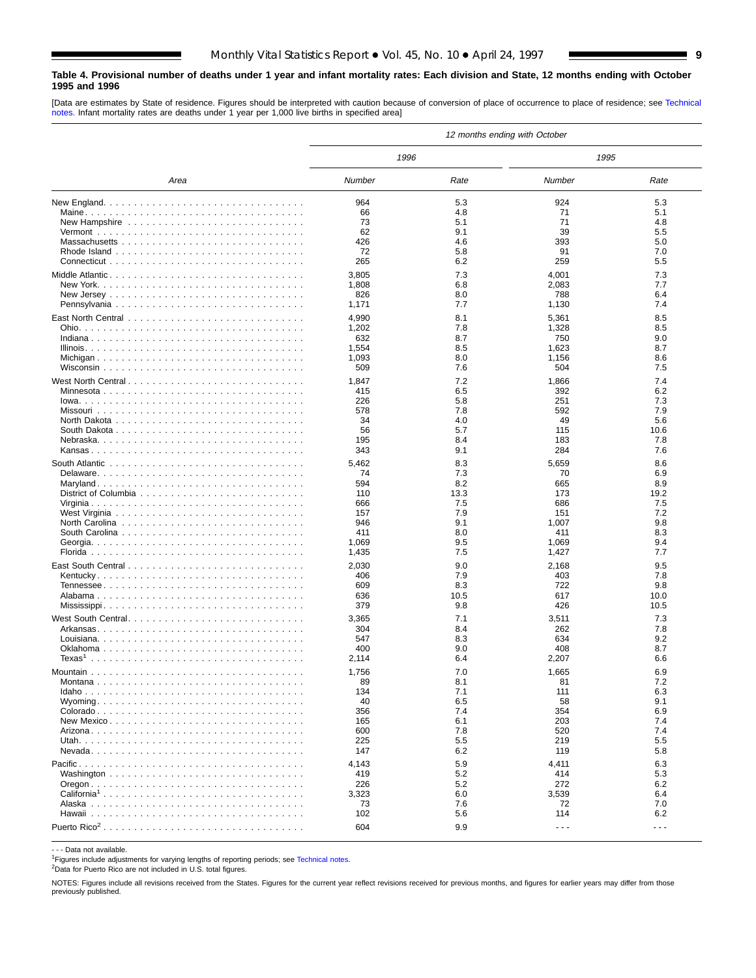### <span id="page-8-0"></span>**Table 4. Provisional number of deaths under 1 year and infant mortality rates: Each division and State, 12 months ending with October 1995 and 1996**

[Data are estimates by State of residence. Figures should be interpreted with caution because of conversion of place of occurrence to place of residence; see [Technical](#page-16-0) [notes.](#page-16-0) Infant mortality rates are deaths under 1 year per 1,000 live births in specified area]

|                                                                                 |              |            | 12 months ending with October |            |
|---------------------------------------------------------------------------------|--------------|------------|-------------------------------|------------|
|                                                                                 | 1996         |            | 1995                          |            |
| Area                                                                            | Number       | Rate       | Number                        | Rate       |
|                                                                                 | 964          | 5.3        | 924                           | 5.3        |
|                                                                                 | 66           | 4.8        | 71                            | 5.1        |
|                                                                                 | 73           | 5.1        | 71                            | 4.8        |
|                                                                                 | 62           | 9.1        | 39                            | 5.5        |
|                                                                                 | 426          | 4.6        | 393                           | 5.0        |
|                                                                                 | 72           | 5.8        | 91                            | 7.0        |
|                                                                                 | 265          | 6.2        | 259                           | 5.5        |
|                                                                                 | 3,805        | 7.3        | 4,001                         | 7.3        |
|                                                                                 | 1,808        | 6.8        | 2,083                         | 7.7        |
|                                                                                 | 826          | 8.0        | 788                           | 6.4        |
|                                                                                 | 1,171        | 7.7        | 1,130                         | 7.4        |
|                                                                                 | 4,990        | 8.1        | 5,361                         | 8.5        |
|                                                                                 | 1,202        | 7.8        | 1,328                         | 8.5        |
|                                                                                 | 632          | 8.7        | 750                           | 9.0        |
|                                                                                 | 1,554        | 8.5        | 1,623                         | 8.7        |
|                                                                                 | 1,093        | 8.0        | 1,156                         | 8.6        |
|                                                                                 | 509          | 7.6        | 504                           | 7.5        |
| West North Central                                                              | 1,847        | 7.2        | 1,866                         | 7.4        |
|                                                                                 | 415          | 6.5        | 392                           | 6.2        |
|                                                                                 | 226          | 5.8        | 251                           | 7.3        |
|                                                                                 | 578          | 7.8        | 592                           | 7.9        |
|                                                                                 | 34           | 4.0        | 49                            | 5.6        |
|                                                                                 | 56           | 5.7        | 115                           | 10.6       |
|                                                                                 | 195          | 8.4        | 183                           | 7.8        |
|                                                                                 | 343          | 9.1        | 284                           | 7.6        |
|                                                                                 | 5,462        | 8.3        | 5,659                         | 8.6        |
|                                                                                 | 74           | 7.3        | 70                            | 6.9        |
|                                                                                 | 594          | 8.2        | 665                           | 8.9        |
|                                                                                 | 110          | 13.3       | 173                           | 19.2       |
|                                                                                 | 666          | 7.5        | 686                           | 7.5<br>7.2 |
| North Carolina $\ldots \ldots \ldots \ldots \ldots \ldots \ldots \ldots \ldots$ | 157<br>946   | 7.9<br>9.1 | 151<br>1,007                  | 9.8        |
|                                                                                 | 411          | 8.0        | 411                           | 8.3        |
|                                                                                 | 1,069        | 9.5        | 1,069                         | 9.4        |
|                                                                                 | 1,435        | 7.5        | 1,427                         | 7.7        |
|                                                                                 |              | 9.0        |                               | 9.5        |
|                                                                                 | 2,030<br>406 | 7.9        | 2,168<br>403                  | 7.8        |
|                                                                                 | 609          | 8.3        | 722                           | 9.8        |
|                                                                                 | 636          | 10.5       | 617                           | 10.0       |
|                                                                                 | 379          | 9.8        | 426                           | 10.5       |
| West South Central                                                              | 3,365        | 7.1        | 3,511                         | 7.3        |
|                                                                                 | 304          | 8.4        | 262                           | 7.8        |
|                                                                                 | 547          | 8.3        | 634                           | 9.2        |
|                                                                                 | 400          | 9.0        | 408                           | 8.7        |
|                                                                                 | 2,114        | 6.4        | 2,207                         | 6.6        |
|                                                                                 | 1,756        | 7.0        | 1,665                         | 6.9        |
| Montana                                                                         | 89           | 8.1        | 81                            | 7.2        |
|                                                                                 | 134          | 7.1        | 111                           | 6.3        |
|                                                                                 | 40           | 6.5        | 58                            | 9.1        |
|                                                                                 | 356          | 7.4        | 354                           | 6.9        |
|                                                                                 | 165          | 6.1        | 203                           | 7.4        |
|                                                                                 | 600          | 7.8        | 520                           | 7.4        |
|                                                                                 | 225          | 5.5        | 219                           | 5.5        |
|                                                                                 | 147          | 6.2        | 119                           | 5.8        |
|                                                                                 | 4,143        | 5.9        | 4,411                         | 6.3        |
|                                                                                 | 419          | 5.2        | 414                           | 5.3        |
|                                                                                 | 226          | 5.2        | 272                           | 6.2        |
| California <sup>1</sup>                                                         | 3,323        | 6.0        | 3,539                         | 6.4        |
|                                                                                 | 73           | 7.6        | 72                            | 7.0        |
|                                                                                 | 102          | 5.6        | 114                           | 6.2        |
|                                                                                 | 604          | 9.9        | $\sim$ $\sim$ $\sim$          | $- - -$    |

- - - Data not available.

<sup>1</sup>Figures include adjustments for varying lengths of reporting periods; see [Technical notes.](#page-16-0)

2Data for Puerto Rico are not included in U.S. total figures.

NOTES: Figures include all revisions received from the States. Figures for the current year reflect revisions received for previous months, and figures for earlier years may differ from those previously published.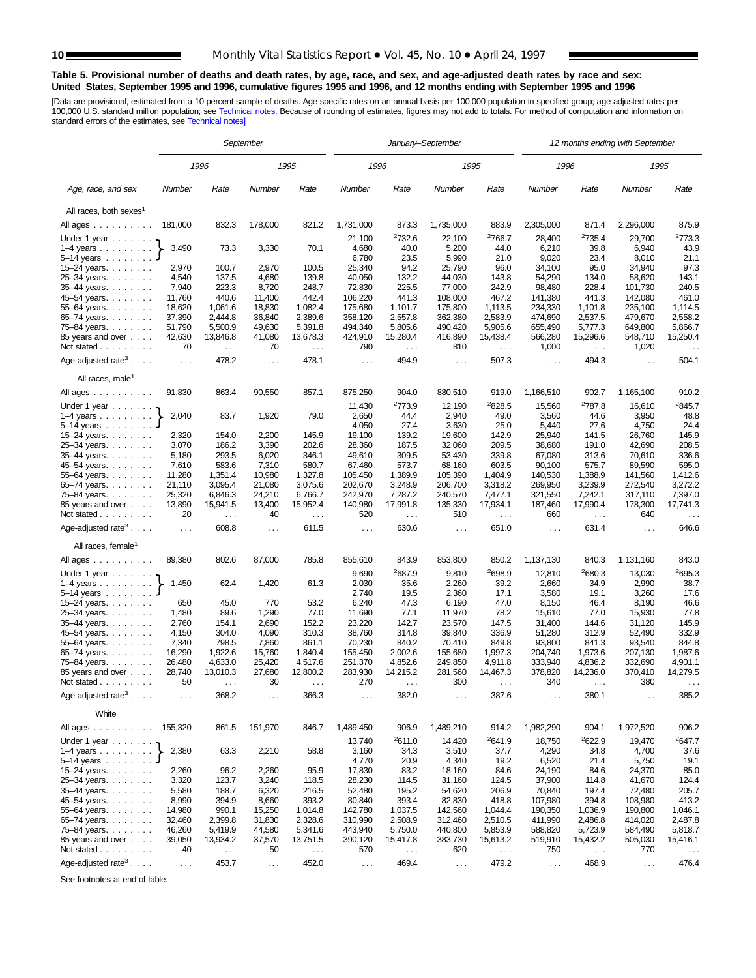$\overline{a}$ 

Ē,

### <span id="page-9-0"></span>**Table 5. Provisional number of deaths and death rates, by age, race, and sex, and age-adjusted death rates by race and sex: United States, September 1995 and 1996, cumulative figures 1995 and 1996, and 12 months ending with September 1995 and 1996**

[Data are provisional, estimated from a 10-percent sample of deaths. Age-specific rates on an annual basis per 100,000 population in specified group; age-adjusted rates per<br>100,000 U.S. standard million population; see Tec

|                                           |                  |                    | September            |                    | January-September  |                               |                    |                    |                      |                               | 12 months ending with September |                    |
|-------------------------------------------|------------------|--------------------|----------------------|--------------------|--------------------|-------------------------------|--------------------|--------------------|----------------------|-------------------------------|---------------------------------|--------------------|
|                                           |                  | 1996               |                      | 1995               | 1996               |                               | 1995               |                    | 1996                 |                               | 1995                            |                    |
| Age, race, and sex                        | Number           | Rate               | Number               | Rate               | Number             | Rate                          | Number             | Rate               | Number               | Rate                          | Number                          | Rate               |
| All races, both sexes <sup>1</sup>        |                  |                    |                      |                    |                    |                               |                    |                    |                      |                               |                                 |                    |
| All ages                                  | 181,000          | 832.3              | 178,000              | 821.2              | 1,731,000          | 873.3                         | 1,735,000          | 883.9              | 2,305,000            | 871.4                         | 2,296,000                       | 875.9              |
| Under 1 year                              |                  |                    |                      |                    | 21,100             | <sup>2</sup> 732.6            | 22,100             | <sup>2</sup> 766.7 | 28,400               | 2735.4                        | 29,700                          | 2773.3             |
| $1-4$ years $\ldots$ $\ldots$ $\ldots$    | 3,490            | 73.3               | 3,330                | 70.1               | 4,680              | 40.0                          | 5,200              | 44.0               | 6,210                | 39.8                          | 6,940                           | 43.9               |
| $5-14$ years                              |                  |                    |                      |                    | 6,780              | 23.5                          | 5,990              | 21.0               | 9,020                | 23.4                          | 8,010                           | 21.1               |
| 15-24 years. $\ldots$                     | 2,970            | 100.7              | 2,970                | 100.5              | 25,340             | 94.2                          | 25,790             | 96.0               | 34,100               | 95.0                          | 34,940                          | 97.3               |
| 25-34 years.                              | 4,540            | 137.5              | 4,680                | 139.8              | 40,050             | 132.2                         | 44,030             | 143.8              | 54,290               | 134.0                         | 58,620                          | 143.1              |
| 35-44 years.                              | 7,940            | 223.3              | 8,720                | 248.7              | 72,830             | 225.5                         | 77,000             | 242.9              | 98,480               | 228.4                         | 101,730                         | 240.5              |
| 45-54 years.                              | 11,760           | 440.6              | 11,400               | 442.4              | 106,220            | 441.3                         | 108,000            | 467.2              | 141,380              | 441.3<br>1.101.8              | 142,080<br>235.100              | 461.0              |
| 55-64 years.<br>65–74 years.              | 18,620<br>37,390 | 1,061.6<br>2,444.8 | 18,830<br>36,840     | 1,082.4<br>2,389.6 | 175,680<br>358,120 | 1,101.7<br>2,557.8            | 175,800<br>362,380 | 1,113.5<br>2,583.9 | 234,330<br>474,690   | 2,537.5                       | 479,670                         | 1,114.5<br>2,558.2 |
| 75-84 years.                              | 51,790           | 5,500.9            | 49,630               | 5,391.8            | 494,340            | 5,805.6                       | 490,420            | 5,905.6            | 655,490              | 5,777.3                       | 649,800                         | 5,866.7            |
| 85 years and over                         | 42,630           | 13,846.8           | 41,080               | 13,678.3           | 424,910            | 15,280.4                      | 416,890            | 15,438.4           | 566,280              | 15,296.6                      | 548,710                         | 15,250.4           |
| Not stated $\ldots$                       | 70               | $\cdots$           | 70                   | $\ldots$           | 790                | $\mathcal{L}^{\mathcal{L}}$ . | 810                | $\cdots$           | 1,000                | $\mathcal{L}^{\mathcal{L}}$ . | 1,020                           | $\sim$ .           |
| Age-adjusted rate <sup>3</sup>            | $\sim$ .         | 478.2              | $\sim$ $\sim$        | 478.1              | $\ldots$           | 494.9                         | $\sim$ $\sim$      | 507.3              | $\sim$ $\sim$        | 494.3                         | $\ldots$                        | 504.1              |
| All races, male <sup>1</sup>              |                  |                    |                      |                    |                    |                               |                    |                    |                      |                               |                                 |                    |
| All ages                                  | 91,830           | 863.4              | 90,550               | 857.1              | 875,250            | 904.0                         | 880,510            | 919.0              | 1,166,510            | 902.7                         | 1,165,100                       | 910.2              |
| Under 1 year                              |                  |                    |                      |                    | 11,430             | 2773.9                        | 12,190             | <sup>2</sup> 828.5 | 15,560               | <sup>2</sup> 787.8            | 16,610                          | <sup>2</sup> 845.7 |
| $1-4$ years                               | 2,040            | 83.7               | 1,920                | 79.0               | 2,650              | 44.4                          | 2,940              | 49.0               | 3,560                | 44.6                          | 3,950                           | 48.8               |
| $5 - 14$ years $\ldots$                   |                  |                    |                      |                    | 4,050              | 27.4                          | 3,630              | 25.0               | 5,440                | 27.6                          | 4,750                           | 24.4               |
| 15–24 years. $\ldots$                     | 2,320            | 154.0              | 2,200                | 145.9<br>202.6     | 19,100             | 139.2<br>187.5                | 19,600             | 142.9              | 25,940               | 141.5                         | 26,760                          | 145.9              |
| 25-34 years.<br>$35 - 44$ years.          | 3,070<br>5,180   | 186.2<br>293.5     | 3,390<br>6,020       | 346.1              | 28,360<br>49,610   | 309.5                         | 32,060<br>53,430   | 209.5<br>339.8     | 38,680<br>67,080     | 191.0<br>313.6                | 42,690<br>70,610                | 208.5<br>336.6     |
| 45-54 years.                              | 7,610            | 583.6              | 7,310                | 580.7              | 67,460             | 573.7                         | 68,160             | 603.5              | 90,100               | 575.7                         | 89,590                          | 595.0              |
| 55–64 years. $\ldots$ .                   | 11,280           | 1,351.4            | 10,980               | 1,327.8            | 105,450            | 1,389.9                       | 105,390            | 1,404.9            | 140,530              | 1,388.9                       | 141,560                         | 1,412.6            |
| 65-74 years.                              | 21,110           | 3.095.4            | 21,080               | 3.075.6            | 202,670            | 3,248.9                       | 206,700            | 3.318.2            | 269,950              | 3,239.9                       | 272,540                         | 3,272.2            |
| 75–84 years.                              | 25,320           | 6,846.3            | 24,210               | 6,766.7            | 242,970            | 7,287.2                       | 240,570            | 7,477.1            | 321,550              | 7,242.1                       | 317,110                         | 7,397.0            |
| 85 years and over                         | 13,890           | 15,941.5           | 13,400               | 15,952.4           | 140,980            | 17,991.8                      | 135,330            | 17,934.1           | 187,460              | 17,990.4                      | 178,300                         | 17,741.3           |
| Not stated                                | 20               | $\sim$ $\sim$      | 40                   | $\cdots$           | 520                | $\sim$ .                      | 510                | $\ldots$           | 660                  | $\sim$ .                      | 640                             | $\cdots$           |
| Age-adjusted rate <sup>3</sup> $\ldots$ . | $\sim$ .         | 608.8              | $\sim$ $\sim$        | 611.5              | $\sim$ $\sim$      | 630.6                         | $\sim$ $\sim$      | 651.0              | $\ldots$             | 631.4                         | $\ldots$                        | 646.6              |
| All races, female                         |                  |                    |                      |                    |                    |                               |                    |                    |                      |                               |                                 |                    |
| All ages                                  | 89,380           | 802.6              | 87,000               | 785.8              | 855,610            | 843.9                         | 853,800            | 850.2              | 1,137,130            | 840.3                         | 1,131,160                       | 843.0              |
| Under 1 year                              |                  |                    |                      |                    | 9,690              | 2687.9                        | 9,810              | 2698.9             | 12,810               | <sup>2</sup> 680.3            | 13,030                          | 2695.3             |
| $1-4$ years $\ldots$ $\ldots$ .           | 1,450            | 62.4               | 1,420                | 61.3               | 2,030              | 35.6                          | 2,260              | 39.2               | 2,660                | 34.9                          | 2,990                           | 38.7               |
| $5 - 14$ years                            |                  |                    |                      |                    | 2,740              | 19.5                          | 2,360              | 17.1               | 3,580                | 19.1                          | 3,260                           | 17.6               |
| 15-24 years.                              | 650              | 45.0               | 770                  | 53.2               | 6,240              | 47.3                          | 6,190              | 47.0               | 8,150                | 46.4                          | 8,190                           | 46.6               |
| 25-34 years.                              | 1,480            | 89.6               | 1,290                | 77.0               | 11,690             | 77.1                          | 11,970             | 78.2               | 15,610               | 77.0                          | 15,930                          | 77.8               |
| 35-44 years.                              | 2,760            | 154.1              | 2,690                | 152.2              | 23,220             | 142.7                         | 23,570             | 147.5              | 31,400               | 144.6                         | 31,120                          | 145.9              |
| 45-54 years.                              | 4,150            | 304.0              | 4,090                | 310.3              | 38,760             | 314.8                         | 39,840             | 336.9              | 51,280               | 312.9                         | 52,490                          | 332.9              |
| 55–64 years. $\ldots$ .                   | 7,340<br>16,290  | 798.5<br>1,922.6   | 7,860<br>15,760      | 861.1<br>1,840.4   | 70,230<br>155,450  | 840.2<br>2,002.6              | 70,410<br>155,680  | 849.8<br>1,997.3   | 93,800<br>204,740    | 841.3<br>1,973.6              | 93,540<br>207,130               | 844.8<br>1,987.6   |
| 65-74 years.<br>75-84 years.              | 26,480           | 4,633.0            | 25,420               | 4,517.6            | 251,370            | 4,852.6                       | 249,850            | 4,911.8            | 333,940              | 4,836.2                       | 332,690                         | 4,901.1            |
| 85 years and over                         | 28,740           | 13,010.3           | 27,680               | 12,800.2           | 283,930            | 14,215.2                      | 281,560            | 14,467.3           | 378,820              | 14,236.0                      | 370,410                         | 14,279.5           |
| Not stated.<br>and a series and           | 50               |                    | 30                   |                    | 270                |                               | 300                |                    | 340                  |                               | 380                             |                    |
| Age-adjusted rate <sup>3</sup> $\ldots$ . | $\cdots$         | 368.2              | $\sim$ $\sim$ $\sim$ | 366.3              | $\cdots$           | 382.0                         | $\cdots$           | 387.6              | $\cdots$             | 380.1                         | $\sim$ $\sim$ $\sim$            | 385.2              |
| White                                     |                  |                    |                      |                    |                    |                               |                    |                    |                      |                               |                                 |                    |
| All ages                                  | 155,320          | 861.5              | 151,970              | 846.7              | 1,489,450          | 906.9                         | 1,489,210          | 914.2              | 1,982,290            | 904.1                         | 1,972,520                       | 906.2              |
| Under 1 year $\ldots$                     |                  |                    |                      |                    | 13,740             | <sup>2</sup> 611.0            | 14,420             | 2641.9             | 18,750               | 2622.9                        | 19,470                          | <sup>2</sup> 647.7 |
| $1-4$ years                               | 2,380            | 63.3               | 2,210                | 58.8               | 3,160              | 34.3                          | 3,510              | 37.7               | 4,290                | 34.8                          | 4,700                           | 37.6               |
| $5 - 14$ years $\ldots \ldots$            |                  |                    |                      |                    | 4,770              | 20.9                          | 4,340              | 19.2               | 6,520                | 21.4                          | 5,750                           | 19.1               |
| 15–24 years. $\ldots$                     | 2,260            | 96.2               | 2,260                | 95.9               | 17,830             | 83.2                          | 18,160             | 84.6               | 24,190               | 84.6                          | 24,370                          | 85.0               |
| 25-34 years.<br>35-44 years.              | 3,320<br>5,580   | 123.7<br>188.7     | 3,240<br>6,320       | 118.5<br>216.5     | 28,230<br>52,480   | 114.5<br>195.2                | 31,160<br>54,620   | 124.5<br>206.9     | 37,900<br>70,840     | 114.8<br>197.4                | 41,670<br>72,480                | 124.4<br>205.7     |
| 45-54 years.                              | 8,990            | 394.9              | 8,660                | 393.2              | 80,840             | 393.4                         | 82,830             | 418.8              | 107,980              | 394.8                         | 108,980                         | 413.2              |
| 55-64 years.                              | 14,980           | 990.1              | 15,250               | 1,014.8            | 142,780            | 1,037.5                       | 142,560            | 1,044.4            | 190,350              | 1,036.9                       | 190,800                         | 1,046.1            |
| 65-74 years.                              | 32,460           | 2,399.8            | 31,830               | 2,328.6            | 310,990            | 2,508.9                       | 312,460            | 2,510.5            | 411,990              | 2,486.8                       | 414,020                         | 2,487.8            |
| 75-84 years.                              | 46,260           | 5,419.9            | 44,580               | 5,341.6            | 443,940            | 5,750.0                       | 440,800            | 5,853.9            | 588,820              | 5,723.9                       | 584,490                         | 5,818.7            |
| 85 years and over                         | 39,050           | 13,934.2           | 37,570               | 13,751.5           | 390,120            | 15,417.8                      | 383,730            | 15,613.2           | 519,910              | 15,432.2                      | 505,030                         | 15,416.1           |
| Not stated                                | 40               | $\ldots$           | 50                   | $\sim$ $\sim$      | 570                | $\sim$ $\sim$                 | 620                | $\ldots$           | 750                  | $\sim$ $\sim$                 | 770                             | $\sim$             |
| Age-adjusted rate <sup>3</sup> $\ldots$   | $\sim$ $\sim$    | 453.7              | $\sim$               | 452.0              | $\sim 100$         | 469.4                         | $\sim 100$         | 479.2              | $\sim$ $\sim$ $\sim$ | 468.9                         | $\sim 100$                      | 476.4              |

See footnotes at end of table.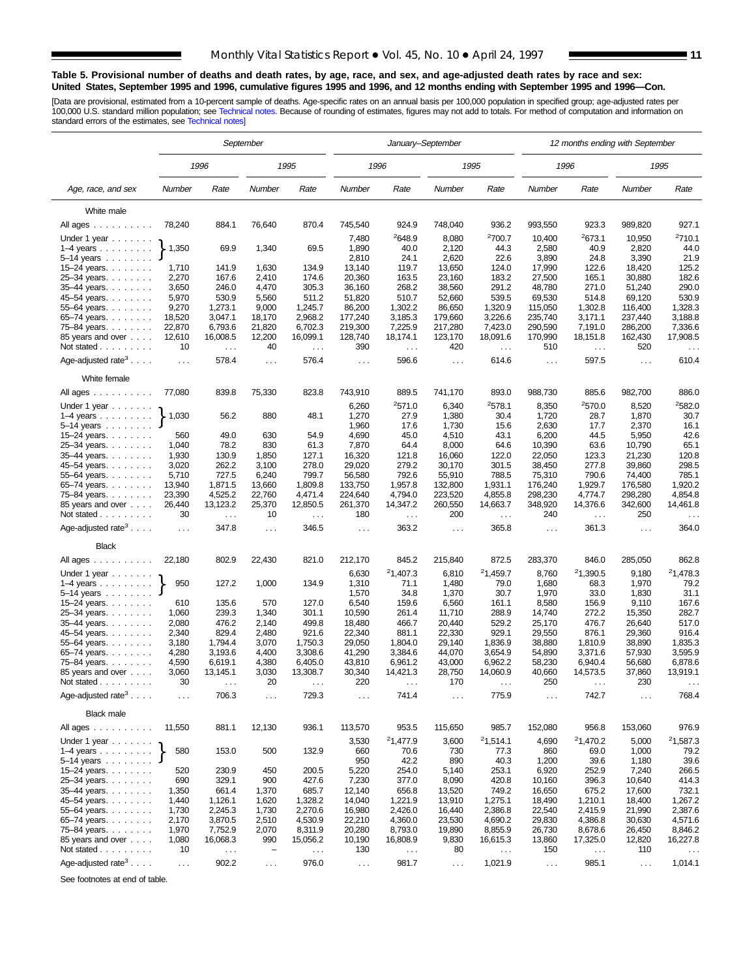### **Table 5. Provisional number of deaths and death rates, by age, race, and sex, and age-adjusted death rates by race and sex: United States, September 1995 and 1996, cumulative figures 1995 and 1996, and 12 months ending with September 1995 and 1996—Con.**

[Data are provisional, estimated from a 10-percent sample of deaths. Age-specific rates on an annual basis per 100,000 population in specified group; age-adjusted rates per<br>100,000 U.S. standard million population; see Tec

|                                               |                      |                               | September         |                      | January-September |                                  |                   |                               | 12 months ending with September |                      |                    |                        |  |
|-----------------------------------------------|----------------------|-------------------------------|-------------------|----------------------|-------------------|----------------------------------|-------------------|-------------------------------|---------------------------------|----------------------|--------------------|------------------------|--|
|                                               |                      | 1996                          |                   | 1995                 | 1996              |                                  | 1995              |                               |                                 | 1996                 |                    | 1995                   |  |
| Age, race, and sex                            | Number               | Rate                          | Number            | Rate                 | Number            | Rate                             | Number            | Rate                          | Number                          | Rate                 | Number             | Rate                   |  |
| White male                                    |                      |                               |                   |                      |                   |                                  |                   |                               |                                 |                      |                    |                        |  |
| All ages                                      | 78,240               | 884.1                         | 76,640            | 870.4                | 745,540           | 924.9                            | 748,040           | 936.2                         | 993,550                         | 923.3                | 989,820            | 927.1                  |  |
| Under 1 year                                  |                      |                               |                   |                      | 7,480             | <sup>2</sup> 648.9               | 8,080             | <sup>2</sup> 700.7            | 10,400                          | <sup>2</sup> 673.1   | 10,950             | 2710.1                 |  |
| $1-4$ years $\ldots$ $\ldots$ .               | 1,350                | 69.9                          | 1,340             | 69.5                 | 1,890             | 40.0                             | 2,120             | 44.3                          | 2,580                           | 40.9                 | 2,820              | 44.0                   |  |
| $5-14$ years                                  |                      |                               |                   |                      | 2,810             | 24.1                             | 2,620             | 22.6                          | 3,890                           | 24.8                 | 3,390              | 21.9                   |  |
| 15-24 years.                                  | 1,710                | 141.9                         | 1,630             | 134.9                | 13,140            | 119.7                            | 13,650            | 124.0                         | 17,990                          | 122.6                | 18,420             | 125.2                  |  |
| 25-34 years.                                  | 2,270                | 167.6                         | 2,410             | 174.6                | 20,360            | 163.5                            | 23,160            | 183.2                         | 27,500                          | 165.1                | 30,880             | 182.6                  |  |
| 35-44 years.                                  | 3,650                | 246.0                         | 4,470             | 305.3                | 36,160            | 268.2                            | 38,560            | 291.2                         | 48,780                          | 271.0                | 51,240             | 290.0                  |  |
| 45–54 years.                                  | 5,970                | 530.9                         | 5,560             | 511.2                | 51,820            | 510.7                            | 52,660            | 539.5                         | 69,530                          | 514.8                | 69,120             | 530.9                  |  |
| 55-64 years.<br>65–74 years                   | 9,270<br>18,520      | 1,273.1<br>3,047.1            | 9,000<br>18,170   | 1,245.7<br>2,968.2   | 86,200<br>177,240 | 1,302.2<br>3,185.3               | 86,650<br>179,660 | 1,320.9<br>3,226.6            | 115,050<br>235,740              | 1,302.8<br>3,171.1   | 116,400<br>237,440 | 1,328.3<br>3,188.8     |  |
| 75–84 years.                                  | 22,870               | 6,793.6                       | 21,820            | 6,702.3              | 219,300           | 7,225.9                          | 217,280           | 7,423.0                       | 290,590                         | 7,191.0              | 286,200            | 7,336.6                |  |
| 85 years and over                             | 12,610               | 16,008.5                      | 12,200            | 16,099.1             | 128,740           | 18,174.1                         | 123,170           | 18,091.6                      | 170,990                         | 18,151.8             | 162,430            | 17,908.5               |  |
| Not stated                                    | 10                   | $\sim$ $\sim$                 | 40                | $\sim$ $\sim$        | 390               | $\sim$ $\sim$                    | 420               | $\sim$ $\sim$                 | 510                             | $\sim$ $\sim$        | 520                | $\ldots$               |  |
| Age-adjusted rate <sup>3</sup> $\ldots$ .     | $\sim$ $\sim$ $\sim$ | 578.4                         | $\cdots$          | 576.4                | $\cdots$          | 596.6                            | $\cdots$          | 614.6                         | $\sim$ $\sim$ $\sim$            | 597.5                | $\cdots$           | 610.4                  |  |
| White female                                  |                      |                               |                   |                      |                   |                                  |                   |                               |                                 |                      |                    |                        |  |
| All ages $\dots$                              | 77,080               | 839.8                         | 75,330            | 823.8                | 743,910           | 889.5                            | 741,170           | 893.0                         | 988,730                         | 885.6                | 982,700            | 886.0                  |  |
| Under 1 year                                  |                      |                               |                   |                      | 6,260             | 2571.0                           | 6,340             | 2578.1                        | 8,350                           | 2570.0               | 8,520              | 2582.0                 |  |
| $1-4$ years<br>5–14 years $\ldots$            | 1,030                | 56.2                          | 880               | 48.1                 | 1,270<br>1,960    | 27.9<br>17.6                     | 1,380<br>1,730    | 30.4<br>15.6                  | 1,720<br>2,630                  | 28.7<br>17.7         | 1,870<br>2,370     | 30.7<br>16.1           |  |
| 15-24 years.                                  | 560                  | 49.0                          | 630               | 54.9                 | 4,690             | 45.0                             | 4,510             | 43.1                          | 6,200                           | 44.5                 | 5,950              | 42.6                   |  |
| 25-34 years.                                  | 1,040                | 78.2                          | 830               | 61.3                 | 7,870             | 64.4                             | 8,000             | 64.6                          | 10,390                          | 63.6                 | 10,790             | 65.1                   |  |
| 35-44 years.                                  | 1,930                | 130.9                         | 1,850             | 127.1                | 16,320            | 121.8                            | 16,060            | 122.0                         | 22,050                          | 123.3                | 21,230             | 120.8                  |  |
| 45-54 years.                                  | 3,020                | 262.2                         | 3,100             | 278.0                | 29,020            | 279.2                            | 30,170            | 301.5                         | 38,450                          | 277.8                | 39,860             | 298.5                  |  |
| 55-64 years.                                  | 5,710                | 727.5                         | 6,240             | 799.7                | 56,580            | 792.6                            | 55,910            | 788.5                         | 75,310                          | 790.6                | 74,400             | 785.1                  |  |
| 65-74 years.                                  | 13,940               | 1,871.5                       | 13,660            | 1,809.8              | 133,750           | 1,957.8                          | 132,800           | 1,931.1                       | 176,240                         | 1,929.7              | 176,580            | 1,920.2                |  |
| 75-84 years.                                  | 23,390               | 4,525.2                       | 22,760            | 4,471.4              | 224,640           | 4,794.0                          | 223,520           | 4,855.8                       | 298,230                         | 4,774.7              | 298,280            | 4,854.8                |  |
| 85 years and over<br>Not stated $\ldots$      | 26,440<br>30         | 13,123.2<br>$\cdots$          | 25,370<br>10      | 12,850.5<br>$\cdots$ | 261,370<br>180    | 14,347.2<br>$\sim$ $\sim$ $\sim$ | 260,550<br>200    | 14,663.7                      | 348,920<br>240                  | 14,376.6<br>$\ldots$ | 342,600<br>250     | 14,461.8               |  |
| Age-adjusted rate <sup>3</sup>                | $\sim 100$           | 347.8                         | $\sim$ $\sim$     | 346.5                | $\sim$ .          | 363.2                            | $\cdots$          | $\sim$ $\sim$ $\sim$<br>365.8 | $\sim$ .                        | 361.3                | $\cdots$           | $\sim$ $\sim$<br>364.0 |  |
| <b>Black</b>                                  |                      |                               |                   |                      |                   |                                  |                   |                               |                                 |                      |                    |                        |  |
| All ages                                      | 22,180               | 802.9                         | 22,430            | 821.0                | 212,170           | 845.2                            | 215,840           | 872.5                         | 283,370                         | 846.0                | 285,050            | 862.8                  |  |
| Under 1 year                                  |                      |                               |                   |                      | 6,630             | 21,407.3                         | 6,810             | 21,459.7                      | 8,760                           | 21,390.5             | 9,180              | 21,478.3               |  |
| $1-4$ years $\ldots$ $\ldots$ .<br>5–14 years | 950                  | 127.2                         | 1,000             | 134.9                | 1,310<br>1,570    | 71.1<br>34.8                     | 1,480<br>1,370    | 79.0<br>30.7                  | 1,680<br>1,970                  | 68.3<br>33.0         | 1,970<br>1,830     | 79.2<br>31.1           |  |
| 15-24 years.                                  | 610                  | 135.6                         | 570               | 127.0                | 6,540             | 159.6                            | 6,560             | 161.1                         | 8,580                           | 156.9                | 9,110              | 167.6                  |  |
| 25-34 years.                                  | 1,060                | 239.3                         | 1,340             | 301.1                | 10,590            | 261.4                            | 11,710            | 288.9                         | 14,740                          | 272.2                | 15,350             | 282.7                  |  |
| 35-44 years.                                  | 2,080                | 476.2                         | 2,140             | 499.8                | 18,480            | 466.7                            | 20,440            | 529.2                         | 25,170                          | 476.7                | 26,640             | 517.0                  |  |
| 45-54 years.                                  | 2,340                | 829.4                         | 2,480             | 921.6                | 22,340            | 881.1                            | 22,330            | 929.1                         | 29,550                          | 876.1                | 29,360             | 916.4                  |  |
| 55-64 years.                                  | 3,180                | 1,794.4                       | 3,070             | 1,750.3              | 29,050            | 1,804.0                          | 29,140            | 1,836.9                       | 38,880                          | 1,810.9              | 38,890             | 1,835.3                |  |
| 65-74 years.                                  | 4,280                | 3,193.6                       | 4,400             | 3,308.6              | 41,290            | 3,384.6                          | 44,070            | 3,654.9                       | 54,890                          | 3,371.6              | 57,930             | 3,595.9                |  |
| 75-84 years.                                  | 4,590                | 6,619.1<br>13,145.1           | 4,380             | 6,405.0              | 43,810            | 6,961.2                          | 43,000            | 6,962.2                       | 58,230                          | 6,940.4              | 56,680             | 6,878.6<br>13,919.1    |  |
| 85 years and over<br>Not stated               | 3,060<br>30          |                               | 3,030<br>20       | 13,308.7             | 30,340<br>220     | 14,421.3                         | 28,750<br>170     | 14,060.9                      | 40,660<br>250                   | 14,573.5             | 37,860<br>230      |                        |  |
| Age-adjusted rate <sup>3</sup>                | $\sim$ $\sim$ $\sim$ | $\sim$ $\sim$ $\sim$<br>706.3 | $\cdots$          | 729.3                | $\cdots$          | $\cdots$<br>741.4                | $\cdots$          | 775.9                         | $\cdots$                        | 742.7                | $\cdots$           | 768.4                  |  |
| <b>Black male</b>                             |                      |                               |                   |                      |                   |                                  |                   |                               |                                 |                      |                    |                        |  |
| All ages                                      | 11,550               | 881.1                         | 12,130            | 936.1                | 113,570           | 953.5                            | 115,650           | 985.7                         | 152,080                         | 956.8                | 153,060            | 976.9                  |  |
| Under 1 year                                  |                      |                               |                   |                      | 3,530             | <sup>2</sup> 1,477.9             | 3,600             | 21,514.1                      | 4,690                           | 21,470.2             | 5,000              | 21,587.3               |  |
| $1-4$ years $\ldots$ $\ldots$ .               | 580                  | 153.0                         | 500               | 132.9                | 660               | 70.6                             | 730               | 77.3                          | 860                             | 69.0                 | 1,000              | 79.2                   |  |
| 5–14 years $\ldots$                           |                      |                               |                   |                      | 950               | 42.2                             | 890               | 40.3                          | 1,200                           | 39.6                 | 1,180              | 39.6                   |  |
| 15-24 years.                                  | 520                  | 230.9<br>329.1                | 450               | 200.5                | 5,220             | 254.0                            | 5,140             | 253.1                         | 6,920                           | 252.9                | 7,240              | 266.5                  |  |
| 25-34 years.<br>35-44 years.                  | 690<br>1,350         | 661.4                         | 900<br>1,370      | 427.6<br>685.7       | 7,230<br>12,140   | 377.0<br>656.8                   | 8,090<br>13,520   | 420.8<br>749.2                | 10,160<br>16,650                | 396.3<br>675.2       | 10,640<br>17,600   | 414.3<br>732.1         |  |
| 45–54 years                                   | 1,440                | 1,126.1                       | 1,620             | 1,328.2              | 14,040            | 1,221.9                          | 13,910            | 1,275.1                       | 18,490                          | 1,210.1              | 18,400             | 1,267.2                |  |
| 55–64 years                                   | 1,730                | 2,245.3                       | 1,730             | 2,270.6              | 16,980            | 2,426.0                          | 16,440            | 2,386.8                       | 22,540                          | 2,415.9              | 21,990             | 2,387.6                |  |
| 65–74 years                                   | 2,170                | 3,870.5                       | 2,510             | 4,530.9              | 22,210            | 4,360.0                          | 23,530            | 4,690.2                       | 29,830                          | 4,386.8              | 30,630             | 4,571.6                |  |
| 75-84 years.                                  | 1,970                | 7,752.9                       | 2,070             | 8,311.9              | 20,280            | 8,793.0                          | 19,890            | 8,855.9                       | 26,730                          | 8,678.6              | 26,450             | 8,846.2                |  |
| 85 years and over                             | 1,080                | 16,068.3                      | 990               | 15,056.2             | 10,190            | 16,808.9                         | 9,830             | 16,615.3                      | 13,860                          | 17,325.0             | 12,820             | 16,227.8               |  |
| Not stated                                    | 10                   | $\sim$ $\sim$                 | $\qquad \qquad -$ | $\sim$ $\sim$        | 130               | $\sim$ $\sim$                    | 80                | $\sim$ $\sim$                 | 150                             | $\sim$ $\sim$        | 110                | $\ddotsc$              |  |
| Age-adjusted rate <sup>3</sup> $\ldots$ .     | $\sim$ $\sim$        | 902.2                         | $\sim$ $\sim$     | 976.0                | $\sim$ $\sim$     | 981.7                            | $\sim$ $\sim$     | 1,021.9                       | $\sim$ $\sim$                   | 985.1                | $\sim$ $\sim$      | 1,014.1                |  |

See footnotes at end of table.

 $\overline{a}$ 

÷,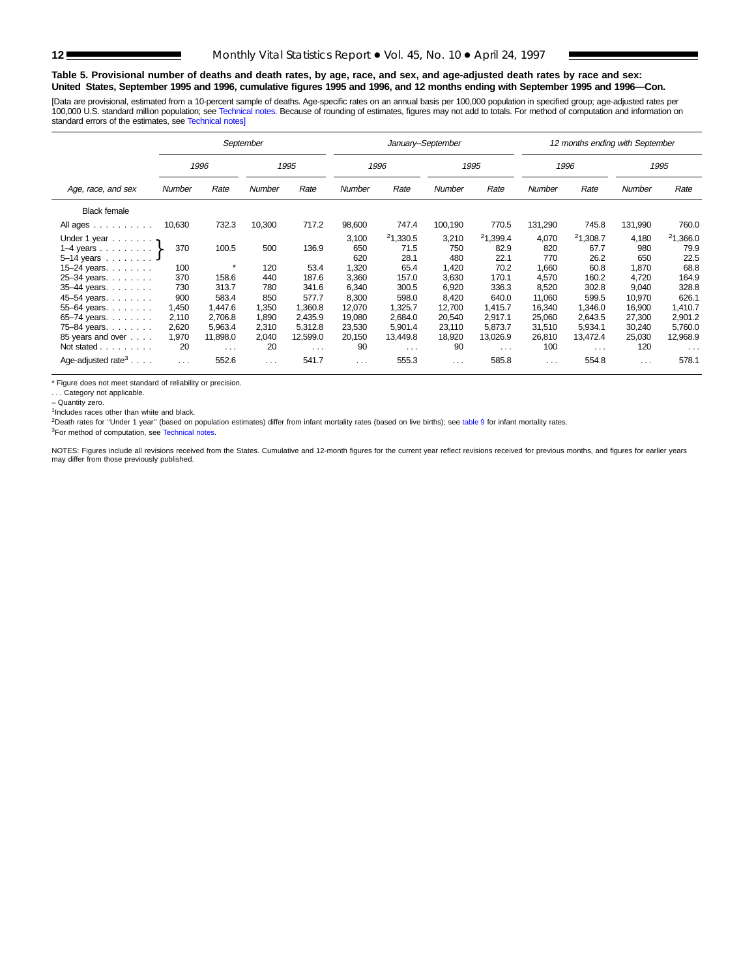### **Table 5. Provisional number of deaths and death rates, by age, race, and sex, and age-adjusted death rates by race and sex: United States, September 1995 and 1996, cumulative figures 1995 and 1996, and 12 months ending with September 1995 and 1996—Con.**

[Data are provisional, estimated from a 10-percent sample of deaths. Age-specific rates on an annual basis per 100,000 population in specified group; age-adjusted rates per 100,000 U.S. standard million population; see [Technical notes.](#page-16-0) Because of rounding of estimates, figures may not add to totals. For method of computation and information on<br>standard errors of the estimates, see Technical n

|                                | September |                         |                      |          |          | January-September |                      |                      | 12 months ending with September |          |                      |          |  |  |
|--------------------------------|-----------|-------------------------|----------------------|----------|----------|-------------------|----------------------|----------------------|---------------------------------|----------|----------------------|----------|--|--|
|                                |           | 1996                    |                      | 1995     |          | 1996              |                      | 1995                 |                                 | 1996     |                      | 1995     |  |  |
| Age, race, and sex             | Number    | Rate                    | Number               | Rate     | Number   | Rate              | <b>Number</b>        | Rate                 | Number                          | Rate     | <b>Number</b>        | Rate     |  |  |
| <b>Black female</b>            |           |                         |                      |          |          |                   |                      |                      |                                 |          |                      |          |  |  |
| All ages                       | 10,630    | 732.3                   | 10,300               | 717.2    | 98,600   | 747.4             | 100,190              | 770.5                | 131,290                         | 745.8    | 131,990              | 760.0    |  |  |
| Under 1 year $\ldots \ldots$   |           |                         |                      |          | 3,100    | 21,330.5          | 3,210                | 21,399.4             | 4,070                           | 21,308.7 | 4,180                | 21,366.0 |  |  |
| 1–4 years $\}$                 | 370       | 100.5                   | 500                  | 136.9    | 650      | 71.5              | 750                  | 82.9                 | 820                             | 67.7     | 980                  | 79.9     |  |  |
| $5-14$ years $\ldots$          |           |                         |                      |          | 620      | 28.1              | 480                  | 22.1                 | 770                             | 26.2     | 650                  | 22.5     |  |  |
| 15-24 years.                   | 100       | $\star$                 | 120                  | 53.4     | 1,320    | 65.4              | 1,420                | 70.2                 | 1,660                           | 60.8     | 1,870                | 68.8     |  |  |
| 25-34 years.                   | 370       | 158.6                   | 440                  | 187.6    | 3,360    | 157.0             | 3,630                | 170.1                | 4,570                           | 160.2    | 4,720                | 164.9    |  |  |
| 35-44 years.                   | 730       | 313.7                   | 780                  | 341.6    | 6,340    | 300.5             | 6,920                | 336.3                | 8,520                           | 302.8    | 9,040                | 328.8    |  |  |
| 45-54 years.                   | 900       | 583.4                   | 850                  | 577.7    | 8,300    | 598.0             | 8,420                | 640.0                | 11,060                          | 599.5    | 10,970               | 626.1    |  |  |
| 55-64 years.                   | 1,450     | 1,447.6                 | 1,350                | 1.360.8  | 12,070   | 1,325.7           | 12.700               | 1,415.7              | 16,340                          | 1.346.0  | 16,900               | 1,410.7  |  |  |
| 65-74 years.                   | 2,110     | 2,706.8                 | 1,890                | 2,435.9  | 19,080   | 2,684.0           | 20,540               | 2,917.1              | 25,060                          | 2,643.5  | 27,300               | 2,901.2  |  |  |
| 75-84 years.                   | 2,620     | 5,963.4                 | 2,310                | 5,312.8  | 23,530   | 5,901.4           | 23,110               | 5,873.7              | 31,510                          | 5,934.1  | 30,240               | 5,760.0  |  |  |
| 85 years and over              | 1,970     | 11,898.0                | 2,040                | 12,599.0 | 20,150   | 13,449.8          | 18,920               | 13,026.9             | 26,810                          | 13,472.4 | 25,030               | 12,968.9 |  |  |
| Not stated                     | 20        | $\sim 100$ km s $^{-1}$ | 20                   | $\cdots$ | 90       | $\cdots$          | 90                   | $\sim$ $\sim$ $\sim$ | 100                             | $\cdots$ | 120                  | $\cdots$ |  |  |
| Age-adjusted rate <sup>3</sup> | $\cdots$  | 552.6                   | $\sim$ $\sim$ $\sim$ | 541.7    | $\cdots$ | 555.3             | $\sim$ $\sim$ $\sim$ | 585.8                | $\sim$ $\sim$                   | 554.8    | $\sim$ $\sim$ $\sim$ | 578.1    |  |  |

\* Figure does not meet standard of reliability or precision.

. . . Category not applicable.

– Quantity zero.

<sup>1</sup>Includes races other than white and black.

2Death rates for ''Under 1 year'' (based on population estimates) differ from infant mortality rates (based on live births); see [table 9](#page-15-0) for infant mortality rates.

3For method of computation, see [Technical notes.](#page-16-0)

NOTES: Figures include all revisions received from the States. Cumulative and 12-month figures for the current year reflect revisions received for previous months, and figures for earlier years<br>may differ from those previo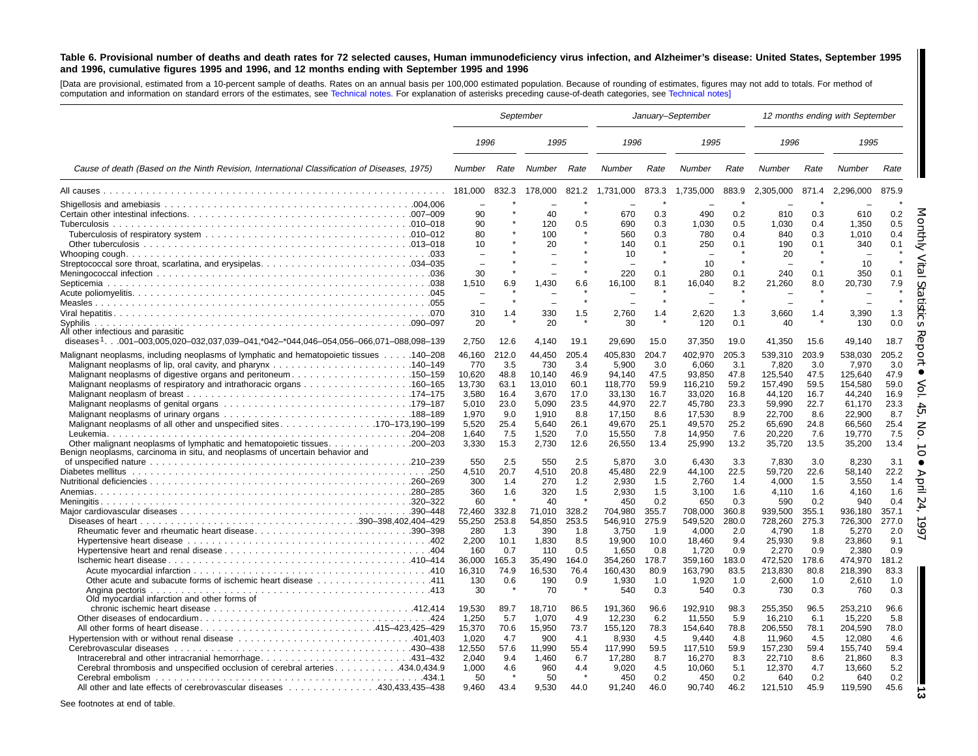### <span id="page-12-0"></span>Table 6. Provisional number of deaths and death rates for 72 selected causes, Human immunodeficiency virus infection, and Alzheimer's disease: United States, September 1995 and 1996, cumulative figures 1995 and 1996, and 12 months ending with September 1995 and 1996

[Data are provisional, estimated from <sup>a</sup> 10-percent sample of deaths. Rates on an annual basis per 100,000 estimated population. Because of rounding of estimates, figures may not add to totals. For method of computation and information on standard errors of the estimates, see [Technical](#page-16-0) notes. For explanation of asterisks preceding cause-of-death categories, see [Technical](#page-16-0) notes]

|                                                                                                 |                          | September | January-September |       |           |       |           | 12 months ending with September |           |       |           |            |
|-------------------------------------------------------------------------------------------------|--------------------------|-----------|-------------------|-------|-----------|-------|-----------|---------------------------------|-----------|-------|-----------|------------|
|                                                                                                 | 1996                     |           | 1995              |       | 1996      |       | 1995      |                                 | 1996      |       | 1995      |            |
| Cause of death (Based on the Ninth Revision, International Classification of Diseases, 1975)    | Number                   | Rate      | Number            | Rate  | Number    | Rate  | Number    | Rate                            | Number    | Rate  | Number    | Rate       |
|                                                                                                 | 181,000                  | 832.3     | 178,000           | 821.2 | 1,731,000 | 873.3 | 1,735,000 | 883.9                           | 2,305,000 | 871.4 | 2,296,000 | 875.9      |
|                                                                                                 | $\overline{\phantom{0}}$ |           |                   |       | ÷         |       |           |                                 |           |       |           |            |
|                                                                                                 | 90                       |           | 40                |       | 670       | 0.3   | 490       | 0.2                             | 810       | 0.3   | 610       | 0.2        |
|                                                                                                 | 90                       |           | 120               | 0.5   | 690       | 0.3   | 1,030     | 0.5                             | 1,030     | 0.4   | 1,350     | 0.5        |
|                                                                                                 | 80                       |           | 100               |       | 560       | 0.3   | 780       | 0.4                             | 840       | 0.3   | 1.010     | 0.4        |
|                                                                                                 | 10                       |           | 20                |       | 140       | 0.1   | 250       | 0.1                             | 190       | 0.1   | 340       | 0.1        |
|                                                                                                 | $\overline{\phantom{0}}$ |           |                   |       | 10        |       |           |                                 | 20        |       |           |            |
|                                                                                                 |                          |           |                   |       |           |       | 10        |                                 |           |       | 10        |            |
|                                                                                                 | 30<br>1.510              |           |                   |       | 220       | 0.1   | 280       | 0.1                             | 240       | 0.1   | 350       | 0.1<br>7.9 |
|                                                                                                 |                          | 6.9       | 1,430             | 6.6   | 16,100    | 8.1   | 16,040    | 8.2                             | 21,260    | 8.0   | 20,730    |            |
|                                                                                                 |                          |           |                   |       |           |       |           | $\star$                         |           |       |           |            |
|                                                                                                 | 310                      | 1.4       | 330               | 1.5   | 2,760     | 1.4   | 2.620     | 1.3                             | 3,660     | 1.4   | 3.390     | 1.3        |
| Syphilis                                                                                        | 20                       |           | 20                |       | 30        |       | 120       | 0.1                             | 40        |       | 130       | 0.0        |
| All other infectious and parasitic                                                              |                          |           |                   |       |           |       |           |                                 |           |       |           |            |
| diseases <sup>1</sup> 001–003.005.020–032.037.039–041.*042–*044.046–054.056–066.071–088.098–139 | 2.750                    | 12.6      | 4.140             | 19.1  | 29,690    | 15.0  | 37,350    | 19.0                            | 41,350    | 15.6  | 49.140    | 18.7       |
| Malignant neoplasms, including neoplasms of lymphatic and hematopoietic tissues 140–208         | 46.160                   | 212.0     | 44.450            | 205.4 | 405,830   | 204.7 | 402,970   | 205.3                           | 539,310   | 203.9 | 538.030   | 205.2      |
|                                                                                                 | 770                      | 3.5       | 730               | 3.4   | 5,900     | 3.0   | 6.060     | 3.1                             | 7,820     | 3.0   | 7.970     | 3.0        |
| Malignant neoplasms of digestive organs and peritoneum150–159                                   | 10,620                   | 48.8      | 10.140            | 46.9  | 94.140    | 47.5  | 93,850    | 47.8                            | 125,540   | 47.5  | 125.640   | 47.9       |
|                                                                                                 | 13.730                   | 63.1      | 13.010            | 60.1  | 118.770   | 59.9  | 116.210   | 59.2                            | 157.490   | 59.5  | 154.580   | 59.0       |
|                                                                                                 | 3.580                    | 16.4      | 3.670             | 17.0  | 33,130    | 16.7  | 33,020    | 16.8                            | 44.120    | 16.7  | 44.240    | 16.9       |
|                                                                                                 | 5.010                    | 23.0      | 5.090             | 23.5  | 44.970    | 22.7  | 45.780    | 23.3                            | 59.990    | 22.7  | 61.170    | 23.3       |
|                                                                                                 | 1,970                    | 9.0       | 1,910             | 8.8   | 17,150    | 8.6   | 17,530    | 8.9                             | 22,700    | 8.6   | 22,900    | 8.7        |
| Malignant neoplasms of all other and unspecified sites. 170-173,190-199                         | 5,520                    | 25.4      | 5,640             | 26.1  | 49,670    | 25.1  | 49,570    | 25.2                            | 65,690    | 24.8  | 66,560    | 25.4       |
|                                                                                                 | 1.640                    | 7.5       | 1.520             | 7.0   | 15.550    | 7.8   | 14,950    | 7.6                             | 20.220    | 7.6   | 19.770    | 7.5        |
|                                                                                                 | 3,330                    | 15.3      | 2,730             | 12.6  | 26,550    | 13.4  | 25,990    | 13.2                            | 35,720    | 13.5  | 35,200    | 13.4       |
| Benign neoplasms, carcinoma in situ, and neoplasms of uncertain behavior and                    |                          |           |                   |       |           |       |           |                                 |           |       |           |            |
|                                                                                                 | 550                      | 2.5       | 550               | 2.5   | 5.870     | 3.0   | 6.430     | 3.3                             | 7.830     | 3.0   | 8.230     | 3.1        |
|                                                                                                 | 4,510                    | 20.7      | 4,510             | 20.8  | 45.480    | 22.9  | 44.100    | 22.5                            | 59,720    | 22.6  | 58.140    | 22.2       |
|                                                                                                 | 300                      | 1.4       | 270               | 1.2   | 2.930     | 1.5   | 2,760     | 1.4                             | 4,000     | 1.5   | 3,550     | 1.4        |
|                                                                                                 | 360                      | 1.6       | 320               | 1.5   | 2,930     | 1.5   | 3,100     | 1.6                             | 4,110     | 1.6   | 4.160     | 1.6        |
|                                                                                                 | 60                       |           | 40                |       | 450       | 0.2   | 650       | 0.3                             | 590       | 0.2   | 940       | 0.4        |
|                                                                                                 | 72.460                   | 332.8     | 71.010            | 328.2 | 704.980   | 355.7 | 708.000   | 360.8                           | 939.500   | 355.1 | 936.180   | 357.1      |
|                                                                                                 | 55,250                   | 253.8     | 54,850            | 253.5 | 546,910   | 275.9 | 549,520   | 280.0                           | 728,260   | 275.3 | 726,300   | 277.0      |
| Rheumatic fever and rheumatic heart disease390–398                                              | 280                      | 1.3       | 390               | 1.8   | 3.750     | 1.9   | 4.000     | 2.0                             | 4.790     | 1.8   | 5.270     | 2.0        |
|                                                                                                 | 2,200                    | 10.1      | 1,830             | 8.5   | 19,900    | 10.0  | 18,460    | 9.4                             | 25,930    | 9.8   | 23,860    | 9.1        |
|                                                                                                 | 160                      | 0.7       | 110               | 0.5   | 1.650     | 0.8   | 1.720     | 0.9                             | 2.270     | 0.9   | 2.380     | 0.9        |
|                                                                                                 | 36.000                   | 165.3     | 35.490            | 164.0 | 354.260   | 178.7 | 359.160   | 183.0                           | 472.520   | 178.6 | 474.970   | 181.2      |
|                                                                                                 | 16,310                   | 74.9      | 16,530            | 76.4  | 160,430   | 80.9  | 163,790   | 83.5                            | 213,830   | 80.8  | 218,390   | 83.3       |
| 111. 411 Other acute and subacute forms of ischemic heart disease 411                           | 130                      | 0.6       | 190               | 0.9   | 1,930     | 1.0   | 1,920     | 1.0                             | 2,600     | 1.0   | 2,610     | 1.0        |
| Angina pectoris                                                                                 | 30                       |           | 70                |       | 540       | 0.3   | 540       | 0.3                             | 730       | 0.3   | 760       | 0.3        |
| Old myocardial infarction and other forms of                                                    |                          |           |                   |       |           |       |           |                                 |           |       |           |            |
|                                                                                                 | 19,530                   | 89.7      | 18,710            | 86.5  | 191,360   | 96.6  | 192,910   | 98.3                            | 255,350   | 96.5  | 253,210   | 96.6       |
|                                                                                                 | 1,250                    | 5.7       | 1,070             | 4.9   | 12,230    | 6.2   | 11,550    | 5.9                             | 16,210    | 6.1   | 15,220    | 5.8        |
| All other forms of heart disease415–423,425–429                                                 | 15,370                   | 70.6      | 15,950            | 73.7  | 155,120   | 78.3  | 154,640   | 78.8                            | 206,550   | 78.1  | 204,590   | 78.0       |
|                                                                                                 | 1.020                    | 4.7       | 900               | 4.1   | 8.930     | 4.5   | 9.440     | 4.8                             | 11.960    | 4.5   | 12.080    | 4.6        |
|                                                                                                 | 12,550                   | 57.6      | 11,990            | 55.4  | 117,990   | 59.5  | 117,510   | 59.9                            | 157,230   | 59.4  | 155,740   | 59.4       |
| Intracerebral and other intracranial hemorrhage431-432                                          | 2.040                    | 9.4       | 1.460             | 6.7   | 17,280    | 8.7   | 16,270    | 8.3                             | 22,710    | 8.6   | 21.860    | 8.3        |
| Cerebral thrombosis and unspecified occlusion of cerebral arteries434.0.434.9                   | 1.000                    | 4.6       | 960               | 4.4   | 9.020     | 4.5   | 10.060    | 5.1                             | 12.370    | 4.7   | 13.660    | 5.2        |
|                                                                                                 | 50                       |           | 50                |       | 450       | 0.2   | 450       | 0.2                             | 640       | 0.2   | 640       | 0.2        |
| All other and late effects of cerebrovascular diseases 430.433.435–438                          | 9.460                    | 43.4      | 9.530             | 44.0  | 91.240    | 46.0  | 90.740    | 46.2                            | 121,510   | 45.9  | 119,590   | 45.6       |
|                                                                                                 |                          |           |                   |       |           |       |           |                                 |           |       |           |            |

See footnotes at end of table.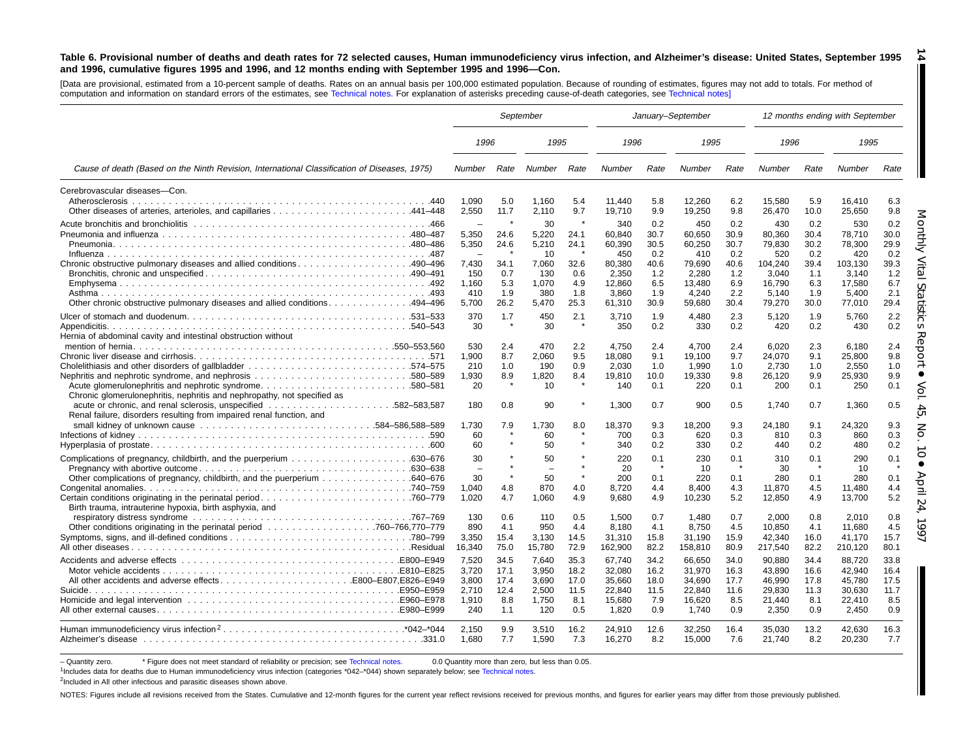#### Table 6. Provisional number of deaths and death rates for 72 selected causes, Human immunodeficiency virus infection, and Alzheimer's disease: United States, September 1995 and 1996, cumulative figures 1995 and 1996, and 12 months ending with September 1995 and 1996-Con. **14**

[Data are provisional, estimated from <sup>a</sup> 10-percent sample of deaths. Rates on an annual basis per 100,000 estimated population. Because of rounding of estimates, figures may not add to totals. For method of computation and information on standard errors of the estimates, see [Technical](#page-16-0) notes. For explanation of asterisks preceding cause-of-death categories, see [Technical](#page-16-0) notes]

|                                                                                                                                                                                                           | September                                                       |                                                 |                                                       |                                            |                                                         | January-September                          |                                                         |                                            |                                                         |                                            | 12 months ending with September                         |                                            |
|-----------------------------------------------------------------------------------------------------------------------------------------------------------------------------------------------------------|-----------------------------------------------------------------|-------------------------------------------------|-------------------------------------------------------|--------------------------------------------|---------------------------------------------------------|--------------------------------------------|---------------------------------------------------------|--------------------------------------------|---------------------------------------------------------|--------------------------------------------|---------------------------------------------------------|--------------------------------------------|
|                                                                                                                                                                                                           | 1996                                                            |                                                 | 1995                                                  |                                            | 1996                                                    |                                            | 1995                                                    |                                            | 1996                                                    |                                            | 1995                                                    |                                            |
| Cause of death (Based on the Ninth Revision, International Classification of Diseases, 1975)                                                                                                              | Number                                                          | Rate                                            | Number                                                | Rate                                       | Number                                                  | Rate                                       | Number                                                  | Rate                                       | Number                                                  | Rate                                       | Number                                                  | Rate                                       |
| Cerebrovascular diseases-Con.                                                                                                                                                                             | 1.090<br>2,550                                                  | 5.0<br>11.7                                     | 1.160<br>2,110                                        | 5.4<br>9.7                                 | 11.440<br>19,710                                        | 5.8<br>9.9                                 | 12.260<br>19,250                                        | 6.2<br>9.8                                 | 15.580<br>26,470                                        | 5.9<br>10.0                                | 16.410<br>25,650                                        | 6.3<br>9.8                                 |
| Chronic obstructive pulmonary diseases and allied conditions490–496                                                                                                                                       | $\equiv$<br>5,350<br>5,350<br>$\overline{\phantom{a}}$<br>7,430 | 24.6<br>24.6<br>34.1                            | 30<br>5.220<br>5,210<br>10<br>7,060                   | 24.1<br>24.1<br>32.6                       | 340<br>60.840<br>60,390<br>450<br>80,380                | 0.2<br>30.7<br>30.5<br>0.2<br>40.6         | 450<br>60.650<br>60,250<br>410<br>79,690                | 0.2<br>30.9<br>30.7<br>0.2<br>40.6         | 430<br>80.360<br>79,830<br>520<br>104,240               | 0.2<br>30.4<br>30.2<br>0.2<br>39.4         | 530<br>78.710<br>78,300<br>420<br>103,130               | 0.2<br>30.0<br>29.9<br>0.2<br>39.3         |
| 0ther chronic obstructive pulmonary diseases and allied conditions494–496                                                                                                                                 | 150<br>1,160<br>410<br>5,700                                    | 0.7<br>5.3<br>1.9<br>26.2                       | 130<br>1,070<br>380<br>5.470                          | 0.6<br>4.9<br>1.8<br>25.3                  | 2,350<br>12,860<br>3,860<br>61,310                      | 1.2<br>6.5<br>1.9<br>30.9                  | 2.280<br>13,480<br>4,240<br>59,680                      | 1.2<br>6.9<br>2.2<br>30.4                  | 3.040<br>16,790<br>5,140<br>79,270                      | 1.1<br>6.3<br>1.9<br>30.0                  | 3.140<br>17,580<br>5,400<br>77,010                      | 1.2<br>6.7<br>2.1<br>29.4                  |
| Hernia of abdominal cavity and intestinal obstruction without                                                                                                                                             | 370<br>30                                                       | 1.7                                             | 450<br>30                                             | 2.1                                        | 3,710<br>350                                            | 1.9<br>0.2                                 | 4,480<br>330                                            | 2.3<br>0.2                                 | 5,120<br>420                                            | 1.9<br>0.2                                 | 5,760<br>430                                            | 2.2<br>0.2                                 |
| Acute glomerulonephritis and nephrotic syndrome580–581<br>Chronic glomerulonephritis, nephritis and nephropathy, not specified as<br>Renal failure, disorders resulting from impaired renal function, and | 530<br>1,900<br>210<br>1,930<br>20<br>180                       | 2.4<br>8.7<br>1.0<br>8.9<br>$\pmb{\ast}$<br>0.8 | 470<br>2,060<br>190<br>1,820<br>10 <sup>°</sup><br>90 | 2.2<br>9.5<br>0.9<br>8.4<br>$\star$        | 4.750<br>18,080<br>2.030<br>19,810<br>140<br>1,300      | 2.4<br>9.1<br>1.0<br>10.0<br>0.1<br>0.7    | 4.700<br>19,100<br>1.990<br>19,330<br>220<br>900        | 2.4<br>9.7<br>1.0<br>9.8<br>0.1<br>0.5     | 6.020<br>24,070<br>2.730<br>26,120<br>200<br>1,740      | 2.3<br>9.1<br>1.0<br>9.9<br>0.1<br>0.7     | 6.180<br>25,800<br>2.550<br>25,930<br>250<br>1,360      | 2.4<br>9.8<br>1.0<br>9.9<br>0.1<br>0.5     |
|                                                                                                                                                                                                           | 1,730<br>60<br>60                                               | 7.9                                             | 1,730<br>60<br>50                                     | 8.0                                        | 18,370<br>700<br>340                                    | 9.3<br>0.3<br>0.2                          | 18,200<br>620<br>330                                    | 9.3<br>0.3<br>0.2                          | 24,180<br>810<br>440                                    | 9.1<br>0.3<br>0.2                          | 24,320<br>860<br>480                                    | 9.3<br>0.3<br>0.2                          |
| . 760–779. Certain conditions originating in the perinatal period<br>Birth trauma, intrauterine hypoxia, birth asphyxia, and                                                                              | 30<br>$\equiv$<br>30<br>1,040<br>1.020                          | $\star$<br>4.8<br>4.7                           | 50<br>$\overline{\phantom{a}}$<br>50<br>870<br>1.060  | $\star$<br>4.0<br>4.9                      | 220<br>20<br>200<br>8,720<br>9,680                      | 0.1<br>0.1<br>4.4<br>4.9                   | 230<br>10<br>220<br>8.400<br>10,230                     | 0.1<br>$\star$<br>0.1<br>4.3<br>5.2        | 310<br>30<br>280<br>11.870<br>12,850                    | 0.1<br>0.1<br>4.5<br>4.9                   | 290<br>10<br>280<br>11,480<br>13,700                    | 0.1<br>0.1<br>4.4<br>5.2                   |
|                                                                                                                                                                                                           | 130<br>890<br>3,350<br>16,340                                   | 0.6<br>4.1<br>15.4<br>75.0                      | 110<br>950<br>3,130<br>15,780                         | 0.5<br>4.4<br>14.5<br>72.9                 | 1.500<br>8.180<br>31,310<br>162,900                     | 0.7<br>4.1<br>15.8<br>82.2                 | 1.480<br>8.750<br>31,190<br>158,810                     | 0.7<br>4.5<br>15.9<br>80.9                 | 2.000<br>10.850<br>42,340<br>217,540                    | 0.8<br>4.1<br>16.0<br>82.2                 | 2.010<br>11.680<br>41,170<br>210,120                    | 0.8<br>4.5<br>15.7<br>80.1                 |
|                                                                                                                                                                                                           | 7.520<br>3,720<br>3,800<br>2.710<br>1,910<br>240                | 34.5<br>17.1<br>17.4<br>12.4<br>8.8<br>1.1      | 7.640<br>3.950<br>3,690<br>2.500<br>1,750<br>120      | 35.3<br>18.2<br>17.0<br>11.5<br>8.1<br>0.5 | 67.740<br>32,080<br>35,660<br>22,840<br>15,680<br>1,820 | 34.2<br>16.2<br>18.0<br>11.5<br>7.9<br>0.9 | 66.650<br>31,970<br>34,690<br>22,840<br>16,620<br>1,740 | 34.0<br>16.3<br>17.7<br>11.6<br>8.5<br>0.9 | 90.880<br>43.890<br>46,990<br>29.830<br>21.440<br>2,350 | 34.4<br>16.6<br>17.8<br>11.3<br>8.1<br>0.9 | 88.720<br>42.940<br>45,780<br>30,630<br>22,410<br>2,450 | 33.8<br>16.4<br>17.5<br>11.7<br>8.5<br>0.9 |
|                                                                                                                                                                                                           | 2.150<br>1,680                                                  | 9.9<br>7.7                                      | 3.510<br>1,590                                        | 16.2<br>7.3                                | 24.910<br>16,270                                        | 12.6<br>8.2                                | 32.250<br>15,000                                        | 16.4<br>7.6                                | 35.030<br>21,740                                        | 13.2<br>8.2                                | 42.630<br>20,230                                        | 16.3<br>7.7                                |

- Quantity zero. \* Figure does not meet standard of reliability or precision; see [Technical](#page-16-0) notes. 0.0 Quantity more than zero, but less than 0.05.

1Includes data for deaths due to Human immunodeficiency virus infection (categories \*042–\*044) shown separately below; see [Technical](#page-16-0) notes.

<sup>2</sup>Included in All other infectious and parasitic diseases shown above.

NOTES: Figures include all revisions received from the States. Cumulative and 12-month figures for the current year reflect revisions received for previous months, and figures for earlier years may differ from those previo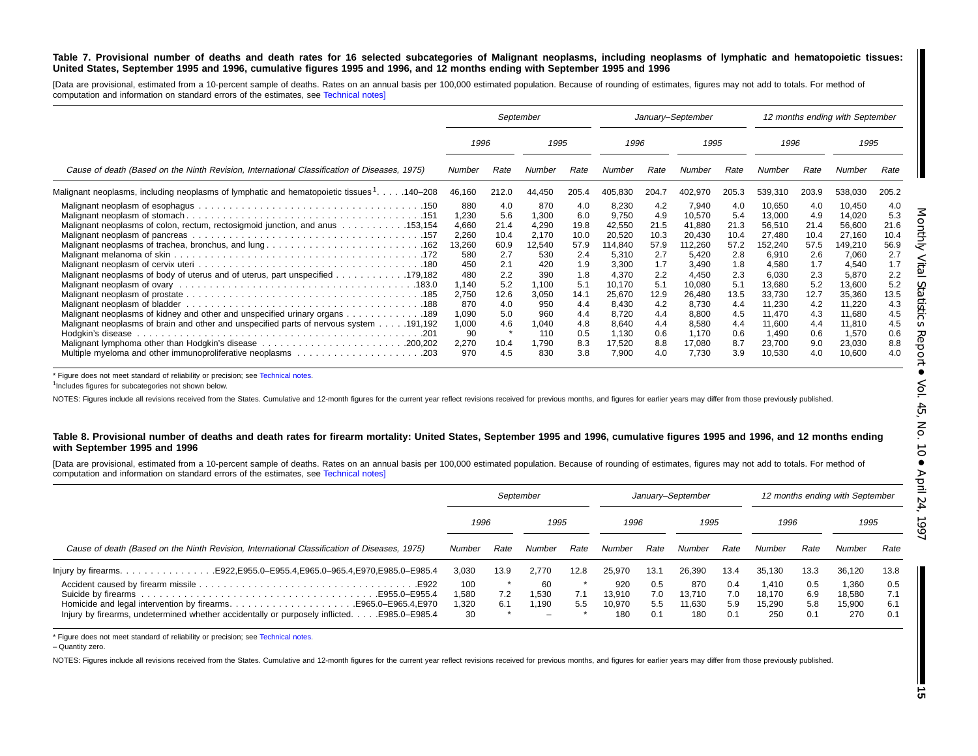### Table 7. Provisional number of deaths and death rates for 16 selected subcategories of Malignant neoplasms, including neoplasms of lymphatic and hematopoietic tissues: United States, September 1995 and 1996, cumulative figures 1995 and 1996, and 12 months ending with September 1995 and 1996

[Data are provisional, estimated from a 10-percent sample of deaths. Rates on an annual basis per 100,000 estimated population. Because of rounding of estimates, figures may not add to totals. For method of computation and information on standard errors of the estimates, see [Technical](#page-16-0) notes]

|                                                                                                                                                                      |                                                               |                                                         | September                                                     |                                                         |                                                                          |                                                         | January-September                                                         |                                                         |                                                                            |                                                         | 12 months ending with September                                            |                                                         |
|----------------------------------------------------------------------------------------------------------------------------------------------------------------------|---------------------------------------------------------------|---------------------------------------------------------|---------------------------------------------------------------|---------------------------------------------------------|--------------------------------------------------------------------------|---------------------------------------------------------|---------------------------------------------------------------------------|---------------------------------------------------------|----------------------------------------------------------------------------|---------------------------------------------------------|----------------------------------------------------------------------------|---------------------------------------------------------|
|                                                                                                                                                                      | 1996                                                          |                                                         | 1995                                                          |                                                         | 1996                                                                     |                                                         | 1995                                                                      |                                                         | 1996                                                                       |                                                         | 1995                                                                       |                                                         |
| Cause of death (Based on the Ninth Revision, International Classification of Diseases, 1975)                                                                         | Number                                                        | Rate                                                    | Number                                                        | Rate                                                    | Number                                                                   | Rate                                                    | Number                                                                    | Rate                                                    | Number                                                                     | Rate                                                    | Number                                                                     | Rate                                                    |
| Malignant neoplasms, including neoplasms of lymphatic and hematopoietic tissues 1. 140–208                                                                           | 46,160                                                        | 212.0                                                   | 44,450                                                        | 205.4                                                   | 405,830                                                                  | 204.7                                                   | 402,970                                                                   | 205.3                                                   | 539,310                                                                    | 203.9                                                   | 538,030                                                                    | 205.2                                                   |
| Malignant neoplasms of colon, rectum, rectosigmoid junction, and anus 153,154<br>Malignant neoplasms of body of uterus and of uterus, part unspecified 179,182       | 880<br>1.230<br>4,660<br>2,260<br>13,260<br>580<br>450<br>480 | 4.0<br>5.6<br>21.4<br>10.4<br>60.9<br>2.7<br>2.1<br>2.2 | 870<br>1,300<br>4,290<br>2.170<br>12,540<br>530<br>420<br>390 | 4.0<br>6.0<br>19.8<br>10.0<br>57.9<br>2.4<br>1.9<br>1.8 | 8,230<br>9,750<br>42,550<br>20,520<br>114,840<br>5,310<br>3,300<br>4,370 | 4.2<br>4.9<br>21.5<br>10.3<br>57.9<br>2.7<br>1.7<br>2.2 | 7,940<br>10,570<br>41,880<br>20,430<br>112,260<br>5,420<br>3,490<br>4,450 | 4.0<br>5.4<br>21.3<br>10.4<br>57.2<br>2.8<br>1.8<br>2.3 | 10,650<br>13,000<br>56,510<br>27.480<br>152,240<br>6,910<br>4,580<br>6,030 | 4.0<br>4.9<br>21.4<br>10.4<br>57.5<br>2.6<br>1.7<br>2.3 | 10,450<br>14,020<br>56,600<br>27,160<br>149,210<br>7,060<br>4,540<br>5,870 | 4.0<br>5.3<br>21.6<br>10.4<br>56.9<br>2.7<br>1.7<br>2.2 |
| Malignant neoplasms of kidney and other and unspecified urinary organs 189<br>Malignant neoplasms of brain and other and unspecified parts of nervous system 191,192 | 1,140<br>2,750<br>870<br>1,090<br>1,000<br>-90                | 5.2<br>12.6<br>4.0<br>5.0<br>4.6                        | 1.100<br>3,050<br>950<br>960<br>040<br>110                    | 5.1<br>14.1<br>4.4<br>4.4<br>4.8<br>0.5                 | 10,170<br>25,670<br>8,430<br>8,720<br>8,640<br>1,130                     | 5.1<br>12.9<br>4.2<br>4.4<br>4.4<br>0.6                 | 10,080<br>26,480<br>8,730<br>8,800<br>8,580<br>1,170                      | 5.1<br>13.5<br>4.4<br>4.5<br>4.4<br>0.6                 | 13,680<br>33,730<br>11,230<br>11.470<br>11,600<br>1,490                    | 5.2<br>12.7<br>4.2<br>4.3<br>4.4<br>0.6                 | 13,600<br>35,360<br>11,220<br>11,680<br>11,810<br>1,570                    | 5.2<br>13.5<br>4.3<br>4.5<br>4.5<br>0.6                 |
|                                                                                                                                                                      | 2,270<br>970                                                  | 10.4<br>4.5                                             | .790<br>830                                                   | 8.3<br>3.8                                              | 17,520<br>7,900                                                          | 8.8<br>4.0                                              | 17,080<br>7,730                                                           | 8.7<br>3.9                                              | 23,700<br>10,530                                                           | 9.0<br>4.0                                              | 23,030<br>10,600                                                           | 8.8<br>4.0                                              |

\* Figure does not meet standard of reliability or precision; see [Technical](#page-16-0) notes.

<sup>1</sup>Includes figures for subcategories not shown below.

NOTES: Figures include all revisions received from the States. Cumulative and 12-month figures for the current year reflect revisions received for previous months, and figures for earlier years may differ from those previo

### Table 8. Provisional number of deaths and death rates for firearm mortality: United States, September 1995 and 1996, cumulative figures 1995 and 1996, and 12 months ending **with September 1995 and 1996**

[Data are provisional, estimated from a 10-percent sample of deaths. Rates on an annual basis per 100,000 estimated population. Because of rounding of estimates, figures may not add to totals. For method of computation and information on standard errors of the estimates, see [Technical](#page-16-0) notes]

|                                                                                                                                                                  |                             |            | September               |            | January-September              |                          |                                |                          | 12 months ending with September  |                          |                                  |                          |
|------------------------------------------------------------------------------------------------------------------------------------------------------------------|-----------------------------|------------|-------------------------|------------|--------------------------------|--------------------------|--------------------------------|--------------------------|----------------------------------|--------------------------|----------------------------------|--------------------------|
|                                                                                                                                                                  | 1996                        |            | 1995                    |            | 1996                           |                          | 1995                           |                          | 1996                             |                          | 1995                             |                          |
| Cause of death (Based on the Ninth Revision, International Classification of Diseases, 1975)                                                                     | Number                      | Rate       | Number                  | Rate       | Number                         | Rate                     | Number                         | Rate                     | Number                           | Rate                     | Number                           | Rate                     |
|                                                                                                                                                                  | 3,030                       | 13.9       | 2.770                   | 12.8       | 25.970                         | 13.1                     | 26,390                         | 13.4                     | 35.130                           | 13.3                     | 36,120                           | 13.8                     |
| Homicide and legal intervention by firearmsE965.0–E965.4, E970<br>Injury by firearms, undetermined whether accidentally or purposely inflicted.<br>E985.0-E985.4 | 100<br>1,580<br>1,320<br>30 | 7.2<br>6.1 | 60<br>530ء<br>.190<br>- | 7.1<br>5.5 | 920<br>13.910<br>10.970<br>180 | 0.5<br>7.0<br>5.5<br>0.1 | 870<br>13.710<br>11.630<br>180 | 0.4<br>7.0<br>5.9<br>0.1 | 1.410<br>18.170<br>15.290<br>250 | 0.5<br>6.9<br>5.8<br>0.1 | 1.360<br>18,580<br>15.900<br>270 | 0.5<br>7.1<br>6.1<br>0.1 |

\* Figure does not meet standard of reliability or precision; see [Technical](#page-16-0) notes.

– Quantity zero.

NOTES: Figures include all revisions received from the States. Cumulative and 12-month figures for the current vear reflect revisions received for previous months, and figures for earlier vears may differ from those previo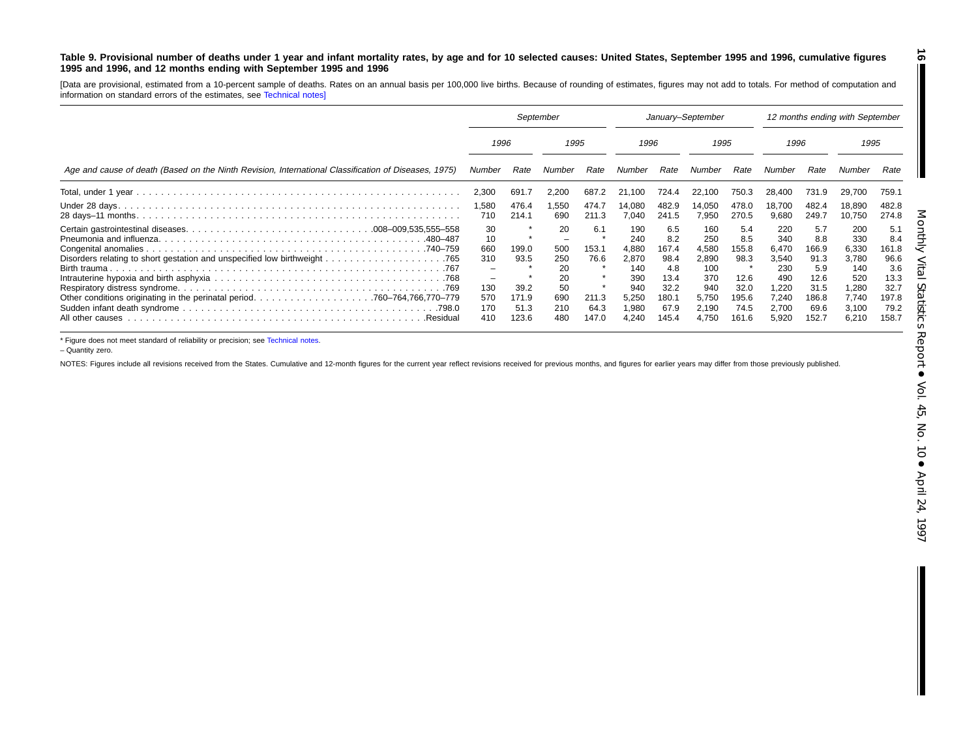### <span id="page-15-0"></span>Table 9. Provisional number of deaths under 1 year and infant mortality rates, by age and for 10 selected causes: United States, September 1995 and 1996, cumulative figures 1995 and 1996, and 12 months ending with September 1995 and 1996

[Data are provisional, estimated from <sup>a</sup> 10-percent sample of deaths. Rates on an annual basis per 100,000 live births. Because of rounding of estimates, figures may not add to totals. For method of computation and information on standard errors of the estimates, see [Technical](#page-16-0) notes]

|                                                                                                      | September                                                    |                                                 |                                                         | January-September                              |                                                                              |                                                                              |                                                                              | 12 months ending with September                                       |                                                                                |                                                                              |                                                                                |                                                                              |
|------------------------------------------------------------------------------------------------------|--------------------------------------------------------------|-------------------------------------------------|---------------------------------------------------------|------------------------------------------------|------------------------------------------------------------------------------|------------------------------------------------------------------------------|------------------------------------------------------------------------------|-----------------------------------------------------------------------|--------------------------------------------------------------------------------|------------------------------------------------------------------------------|--------------------------------------------------------------------------------|------------------------------------------------------------------------------|
|                                                                                                      | 1996                                                         |                                                 | 1995                                                    |                                                | 1996                                                                         |                                                                              | 1995                                                                         |                                                                       | 1996                                                                           |                                                                              | 1995                                                                           |                                                                              |
| Age and cause of death (Based on the Ninth Revision, International Classification of Diseases, 1975) | Number                                                       | Rate                                            | Number                                                  | Rate                                           | Number                                                                       | Rate                                                                         | Number                                                                       | Rate                                                                  | Number                                                                         | Rate                                                                         | Number                                                                         | Rate                                                                         |
|                                                                                                      | 2,300                                                        | 691.7                                           | 2,200                                                   | 687.2                                          | 21.100                                                                       | 724.4                                                                        | 22,100                                                                       | 750.3                                                                 | 28.400                                                                         | 731.9                                                                        | 29,700                                                                         | 759.1                                                                        |
|                                                                                                      | 1,580<br>710                                                 | 476.4<br>214.1                                  | 1,550<br>690                                            | 474.7<br>211.3                                 | 14,080<br>7,040                                                              | 482.9<br>241.5                                                               | 14,050<br>7,950                                                              | 478.0<br>270.5                                                        | 18,700<br>9,680                                                                | 482.4<br>249.7                                                               | 18,890<br>10,750                                                               | 482.8<br>274.8                                                               |
| .480–487<br>All other causes<br>.Residua                                                             | 30<br>10<br>660<br>310<br>-<br>-<br>130<br>570<br>170<br>410 | 199.0<br>93.5<br>39.2<br>171.9<br>51.3<br>123.6 | 20<br>500<br>250<br>20<br>20<br>50<br>690<br>210<br>480 | 6.1<br>153.1<br>76.6<br>211.3<br>64.3<br>147.0 | 190<br>240<br>4,880<br>2,870<br>140<br>390<br>940<br>5,250<br>1,980<br>4,240 | 6.5<br>8.2<br>167.4<br>98.4<br>4.8<br>13.4<br>32.2<br>180.1<br>67.9<br>145.4 | 160<br>250<br>4,580<br>2,890<br>100<br>370<br>940<br>5.750<br>2,190<br>4,750 | 5.4<br>8.5<br>155.8<br>98.3<br>12.6<br>32.0<br>195.6<br>74.5<br>161.6 | 220<br>340<br>6,470<br>3,540<br>230<br>490<br>1.220<br>7,240<br>2,700<br>5,920 | 5.7<br>8.8<br>166.9<br>91.3<br>5.9<br>12.6<br>31.5<br>186.8<br>69.6<br>152.7 | 200<br>330<br>6,330<br>3,780<br>140<br>520<br>1,280<br>7.740<br>3,100<br>6,210 | 5.1<br>8.4<br>161.8<br>96.6<br>3.6<br>13.3<br>32.7<br>197.8<br>79.2<br>158.7 |

\* Figure does not meet standard of reliability or precision; see [Technical](#page-16-0) notes.

– Quantity zero.

NOTES: Figures include all revisions received from the States. Cumulative and 12-month figures for the current year reflect revisions received for previous months, and figures for earlier years may differ from those previo

**16**

 $\blacksquare$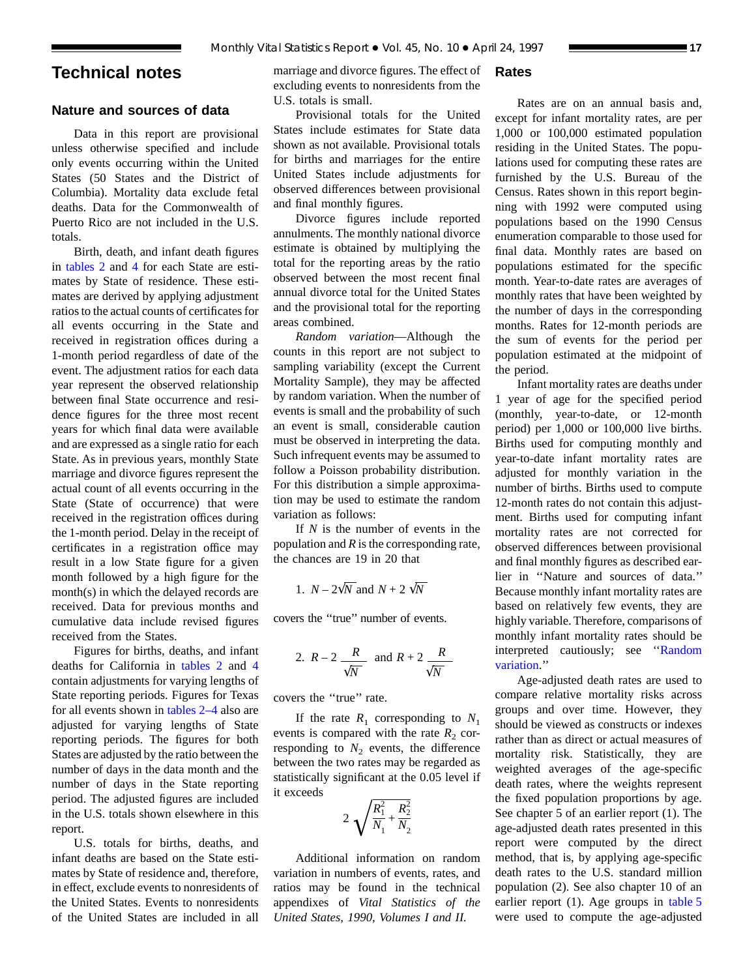# <span id="page-16-0"></span>**Technical notes**

# **Nature and sources of data**

Data in this report are provisional unless otherwise specified and include only events occurring within the United States (50 States and the District of Columbia). Mortality data exclude fetal deaths. Data for the Commonwealth of Puerto Rico are not included in the U.S. totals.

Birth, death, and infant death figures in [tables 2](#page-6-0) and [4](#page-8-0) for each State are estimates by State of residence. These estimates are derived by applying adjustment ratios to the actual counts of certificates for all events occurring in the State and received in registration offices during a 1-month period regardless of date of the event. The adjustment ratios for each data year represent the observed relationship between final State occurrence and residence figures for the three most recent years for which final data were available and are expressed as a single ratio for each State. As in previous years, monthly State marriage and divorce figures represent the actual count of all events occurring in the State (State of occurrence) that were received in the registration offices during the 1-month period. Delay in the receipt of certificates in a registration office may result in a low State figure for a given month followed by a high figure for the month(s) in which the delayed records are received. Data for previous months and cumulative data include revised figures received from the States.

Figures for births, deaths, and infant deaths for California in [tables 2](#page-6-0) and [4](#page-8-0) contain adjustments for varying lengths of State reporting periods. Figures for Texas for all events shown in [tables 2–4](#page-6-0) also are adjusted for varying lengths of State reporting periods. The figures for both States are adjusted by the ratio between the number of days in the data month and the number of days in the State reporting period. The adjusted figures are included in the U.S. totals shown elsewhere in this report.

U.S. totals for births, deaths, and infant deaths are based on the State estimates by State of residence and, therefore, in effect, exclude events to nonresidents of the United States. Events to nonresidents of the United States are included in all

marriage and divorce figures. The effect of excluding events to nonresidents from the U.S. totals is small.

Provisional totals for the United States include estimates for State data shown as not available. Provisional totals for births and marriages for the entire United States include adjustments for observed differences between provisional and final monthly figures.

Divorce figures include reported annulments. The monthly national divorce estimate is obtained by multiplying the total for the reporting areas by the ratio observed between the most recent final annual divorce total for the United States and the provisional total for the reporting areas combined.

*Random variation*—Although the counts in this report are not subject to sampling variability (except the Current Mortality Sample), they may be affected by random variation. When the number of events is small and the probability of such an event is small, considerable caution must be observed in interpreting the data. Such infrequent events may be assumed to follow a Poisson probability distribution. For this distribution a simple approximation may be used to estimate the random variation as follows:

If *N* is the number of events in the population and *R* is the corresponding rate, the chances are 19 in 20 that

1. 
$$
N - 2\sqrt{N}
$$
 and  $N + 2\sqrt{N}$ 

covers the ''true'' number of events.

2. 
$$
R-2
$$
  $\frac{R}{\sqrt{N}}$  and  $R+2$   $\frac{R}{\sqrt{N}}$ 

covers the ''true'' rate.

If the rate  $R_1$  corresponding to  $N_1$ events is compared with the rate  $R_2$  corresponding to  $N_2$  events, the difference between the two rates may be regarded as statistically significant at the 0.05 level if it exceeds

$$
2\sqrt{\frac{R_1^2}{N_1} + \frac{R_2^2}{N_2}}
$$

Additional information on random variation in numbers of events, rates, and ratios may be found in the technical appendixes of *Vital Statistics of the United States, 1990, Volumes I and II.*

# **Rates**

Rates are on an annual basis and, except for infant mortality rates, are per 1,000 or 100,000 estimated population residing in the United States. The populations used for computing these rates are furnished by the U.S. Bureau of the Census. Rates shown in this report beginning with 1992 were computed using populations based on the 1990 Census enumeration comparable to those used for final data. Monthly rates are based on populations estimated for the specific month. Year-to-date rates are averages of monthly rates that have been weighted by the number of days in the corresponding months. Rates for 12-month periods are the sum of events for the period per population estimated at the midpoint of the period.

Infant mortality rates are deaths under 1 year of age for the specified period (monthly, year-to-date, or 12-month period) per 1,000 or 100,000 live births. Births used for computing monthly and year-to-date infant mortality rates are adjusted for monthly variation in the number of births. Births used to compute 12-month rates do not contain this adjustment. Births used for computing infant mortality rates are not corrected for observed differences between provisional and final monthly figures as described earlier in ''Nature and sources of data.'' Because monthly infant mortality rates are based on relatively few events, they are highly variable. Therefore, comparisons of monthly infant mortality rates should be interpreted cautiously; see ''Random variation.''

Age-adjusted death rates are used to compare relative mortality risks across groups and over time. However, they should be viewed as constructs or indexes rather than as direct or actual measures of mortality risk. Statistically, they are weighted averages of the age-specific death rates, where the weights represent the fixed population proportions by age. See chapter 5 of an earlier report (1). The age-adjusted death rates presented in this report were computed by the direct method, that is, by applying age-specific death rates to the U.S. standard million population (2). See also chapter 10 of an earlier report (1). Age groups in [table 5](#page-9-0) were used to compute the age-adjusted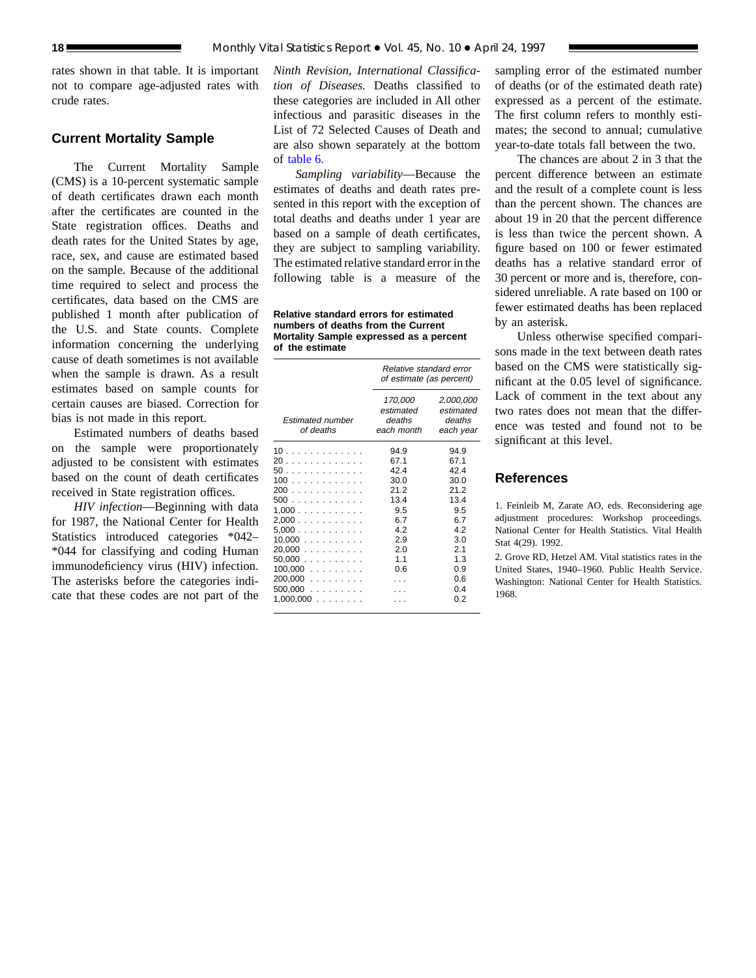rates shown in that table. It is important not to compare age-adjusted rates with crude rates.

# **Current Mortality Sample**

The Current Mortality Sample (CMS) is a 10-percent systematic sample of death certificates drawn each month after the certificates are counted in the State registration offices. Deaths and death rates for the United States by age, race, sex, and cause are estimated based on the sample. Because of the additional time required to select and process the certificates, data based on the CMS are published 1 month after publication of the U.S. and State counts. Complete information concerning the underlying cause of death sometimes is not available when the sample is drawn. As a result estimates based on sample counts for certain causes are biased. Correction for bias is not made in this report.

Estimated numbers of deaths based on the sample were proportionately adjusted to be consistent with estimates based on the count of death certificates received in State registration offices.

*HIV infection*—Beginning with data for 1987, the National Center for Health Statistics introduced categories \*042– \*044 for classifying and coding Human immunodeficiency virus (HIV) infection. The asterisks before the categories indicate that these codes are not part of the

*Ninth Revision, International Classification of Diseases.* Deaths classified to these categories are included in All other infectious and parasitic diseases in the List of 72 Selected Causes of Death and are also shown separately at the bottom of [table 6.](#page-12-0)

*Sampling variability*—Because the estimates of deaths and death rates presented in this report with the exception of total deaths and deaths under 1 year are based on a sample of death certificates, they are subject to sampling variability. The estimated relative standard error in the following table is a measure of the

**Relative standard errors for estimated numbers of deaths from the Current Mortality Sample expressed as a percent of the estimate**

|                                                                                                                           | Relative standard error<br>of estimate (as percent)                                          |                                                                                                     |  |  |  |  |  |  |
|---------------------------------------------------------------------------------------------------------------------------|----------------------------------------------------------------------------------------------|-----------------------------------------------------------------------------------------------------|--|--|--|--|--|--|
| <b>Estimated number</b><br>of deaths                                                                                      | 170,000<br>estimated<br>deaths<br>each month                                                 | 2,000,000<br>estimated<br>deaths<br>each year                                                       |  |  |  |  |  |  |
| 10<br>20<br>50.<br>100<br>200<br>500<br>1.000<br>2,000<br>5,000<br>10,000<br>$20,000$<br>50.000<br>$100,000$<br>$200,000$ | 94.9<br>67.1<br>42.4<br>30.0<br>212<br>13.4<br>9.5<br>6.7<br>4.2<br>2.9<br>2.0<br>1.1<br>0.6 | 94.9<br>67.1<br>42.4<br>30.0<br>21.2<br>13.4<br>9.5<br>6.7<br>42<br>3.0<br>2.1<br>1.3<br>0.9<br>0.6 |  |  |  |  |  |  |
| $500,000$<br>$1,000,000$                                                                                                  |                                                                                              | 04<br>0 2                                                                                           |  |  |  |  |  |  |

sampling error of the estimated number of deaths (or of the estimated death rate) expressed as a percent of the estimate. The first column refers to monthly estimates; the second to annual; cumulative year-to-date totals fall between the two.

The chances are about 2 in 3 that the percent difference between an estimate and the result of a complete count is less than the percent shown. The chances are about 19 in 20 that the percent difference is less than twice the percent shown. A figure based on 100 or fewer estimated deaths has a relative standard error of 30 percent or more and is, therefore, considered unreliable. A rate based on 100 or fewer estimated deaths has been replaced by an asterisk.

Unless otherwise specified comparisons made in the text between death rates based on the CMS were statistically significant at the 0.05 level of significance. Lack of comment in the text about any two rates does not mean that the difference was tested and found not to be significant at this level.

# **References**

1. Feinleib M, Zarate AO, eds. Reconsidering age adjustment procedures: Workshop proceedings. National Center for Health Statistics. Vital Health Stat 4(29). 1992.

2. Grove RD, Hetzel AM. Vital statistics rates in the United States, 1940–1960. Public Health Service. Washington: National Center for Health Statistics. 1968.